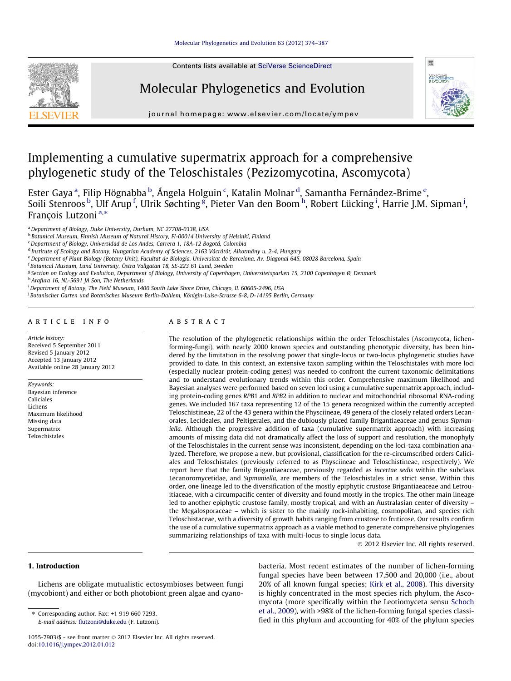Contents lists available at [SciVerse ScienceDirect](http://www.sciencedirect.com/science/journal/10557903)





journal homepage: [www.elsevier.com/locate/ympev](http://www.elsevier.com/locate/ympev)

# Implementing a cumulative supermatrix approach for a comprehensive phylogenetic study of the Teloschistales (Pezizomycotina, Ascomycota)

Ester Gaya <sup>a</sup>, Filip Högnabba <sup>b</sup>, Ángela Holguin <sup>c</sup>, Katalin Molnar <sup>d</sup>, Samantha Fernández-Brime <sup>e</sup>, Soili Stenroos <sup>b</sup>, Ulf Arup <sup>f</sup>, Ulrik Søchting <sup>g</sup>, Pieter Van den Boom <sup>h</sup>, Robert Lücking <sup>i</sup>, Harrie J.M. Sipman <sup>j</sup>, François Lutzoni<sup>a,\*</sup>

<sup>a</sup> Department of Biology, Duke University, Durham, NC 27708-0338, USA

<sup>b</sup> Botanical Museum, Finnish Museum of Natural History, FI-00014 University of Helsinki, Finland

 $c$ Department of Biology, Universidad de Los Andes, Carrera 1, 18A-12 Bogotá, Colombia

<sup>d</sup> Institute of Ecology and Botany, Hungarian Academy of Sciences, 2163 Vácrátót, Alkotmány u. 2-4, Hungary

e Department of Plant Biology (Botany Unit), Facultat de Biologia, Universitat de Barcelona, Av. Diagonal 645, 08028 Barcelona, Spain

f Botanical Museum, Lund University, Östra Vallgatan 18, SE-223 61 Lund, Sweden

<sup>g</sup> Section on Ecology and Evolution, Department of Biology, University of Copenhagen, Universitetsparken 15, 2100 Copenhagen Ø, Denmark

h Arafura 16, NL-5691 JA Son, The Netherlands

i Department of Botany, The Field Museum, 1400 South Lake Shore Drive, Chicago, IL 60605-2496, USA

<sup>i</sup> Botanischer Garten und Botanisches Museum Berlin-Dahlem, Königin-Luise-Strasse 6-8, D-14195 Berlin, Germany

#### article info

Article history: Received 5 September 2011 Revised 5 January 2012 Accepted 13 January 2012 Available online 28 January 2012

Keywords: Bayesian inference Caliciales Lichens Maximum likelihood Missing data Supermatrix Teloschistales

# **ABSTRACT**

The resolution of the phylogenetic relationships within the order Teloschistales (Ascomycota, lichenforming-fungi), with nearly 2000 known species and outstanding phenotypic diversity, has been hindered by the limitation in the resolving power that single-locus or two-locus phylogenetic studies have provided to date. In this context, an extensive taxon sampling within the Teloschistales with more loci (especially nuclear protein-coding genes) was needed to confront the current taxonomic delimitations and to understand evolutionary trends within this order. Comprehensive maximum likelihood and Bayesian analyses were performed based on seven loci using a cumulative supermatrix approach, including protein-coding genes RPB1 and RPB2 in addition to nuclear and mitochondrial ribosomal RNA-coding genes. We included 167 taxa representing 12 of the 15 genera recognized within the currently accepted Teloschistineae, 22 of the 43 genera within the Physciineae, 49 genera of the closely related orders Lecanorales, Lecideales, and Peltigerales, and the dubiously placed family Brigantiaeaceae and genus Sipmaniella. Although the progressive addition of taxa (cumulative supermatrix approach) with increasing amounts of missing data did not dramatically affect the loss of support and resolution, the monophyly of the Teloschistales in the current sense was inconsistent, depending on the loci-taxa combination analyzed. Therefore, we propose a new, but provisional, classification for the re-circumscribed orders Caliciales and Teloschistales (previously referred to as Physciineae and Teloschistineae, respectively). We report here that the family Brigantiaeaceae, previously regarded as incertae sedis within the subclass Lecanoromycetidae, and Sipmaniella, are members of the Teloschistales in a strict sense. Within this order, one lineage led to the diversification of the mostly epiphytic crustose Brigantiaeaceae and Letrouitiaceae, with a circumpacific center of diversity and found mostly in the tropics. The other main lineage led to another epiphytic crustose family, mostly tropical, and with an Australasian center of diversity – the Megalosporaceae – which is sister to the mainly rock-inhabiting, cosmopolitan, and species rich Teloschistaceae, with a diversity of growth habits ranging from crustose to fruticose. Our results confirm the use of a cumulative supermatrix approach as a viable method to generate comprehensive phylogenies summarizing relationships of taxa with multi-locus to single locus data.

- 2012 Elsevier Inc. All rights reserved.

# 1. Introduction

Lichens are obligate mutualistic ectosymbioses between fungi (mycobiont) and either or both photobiont green algae and cyano-

⇑ Corresponding author. Fax: +1 919 660 7293. E-mail address: [flutzoni@duke.edu](mailto:flutzoni@duke.edu) (F. Lutzoni).

1055-7903/\$ - see front matter @ 2012 Elsevier Inc. All rights reserved. doi:[10.1016/j.ympev.2012.01.012](http://dx.doi.org/10.1016/j.ympev.2012.01.012)

bacteria. Most recent estimates of the number of lichen-forming fungal species have been between 17,500 and 20,000 (i.e., about 20% of all known fungal species; [Kirk et al., 2008\)](#page-11-0). This diversity is highly concentrated in the most species rich phylum, the Ascomycota (more specifically within the Leotiomyceta sensu [Schoch](#page-12-0) [et al., 2009\)](#page-12-0), with >98% of the lichen-forming fungal species classified in this phylum and accounting for 40% of the phylum species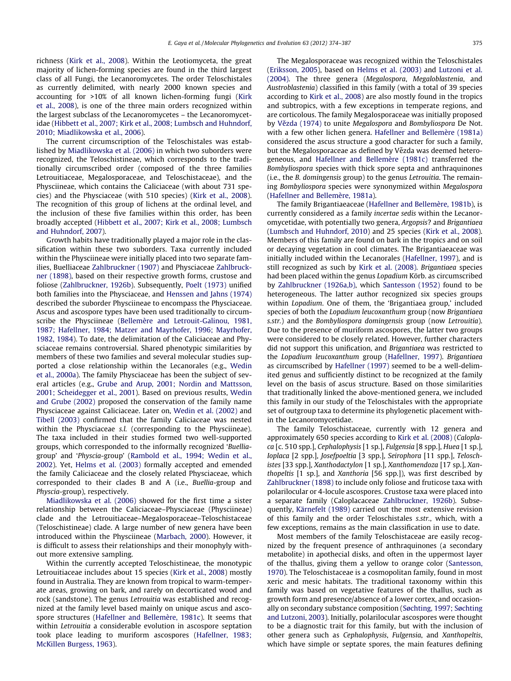richness ([Kirk et al., 2008](#page-11-0)). Within the Leotiomyceta, the great majority of lichen-forming species are found in the third largest class of all Fungi, the Lecanoromycetes. The order Teloschistales as currently delimited, with nearly 2000 known species and accounting for >10% of all known lichen-forming fungi ([Kirk](#page-11-0) [et al., 2008\)](#page-11-0), is one of the three main orders recognized within the largest subclass of the Lecanoromycetes – the Lecanoromycetidae [\(Hibbett et al., 2007; Kirk et al., 2008; Lumbsch and Huhndorf,](#page-11-0) [2010; Miadlikowska et al., 2006](#page-11-0)).

The current circumscription of the Teloschistales was established by [Miadlikowska et al. \(2006\)](#page-12-0) in which two suborders were recognized, the Teloschistineae, which corresponds to the traditionally circumscribed order (composed of the three families Letrouitiaceae, Megalosporaceae, and Teloschistaceae), and the Physciineae, which contains the Caliciaceae (with about 731 species) and the Physciaceae (with 510 species) [\(Kirk et al., 2008\)](#page-11-0). The recognition of this group of lichens at the ordinal level, and the inclusion of these five families within this order, has been broadly accepted [\(Hibbett et al., 2007; Kirk et al., 2008; Lumbsch](#page-11-0) [and Huhndorf, 2007](#page-11-0)).

Growth habits have traditionally played a major role in the classification within these two suborders. Taxa currently included within the Physciineae were initially placed into two separate families, Buelliaceae [Zahlbruckner \(1907\)](#page-13-0) and Physciaceae [Zahlbruck](#page-13-0)[ner \(1898\)](#page-13-0), based on their respective growth forms, crustose and foliose ([Zahlbruckner, 1926b\)](#page-13-0). Subsequently, [Poelt \(1973\)](#page-12-0) unified both families into the Physciaceae, and [Henssen and Jahns \(1974\)](#page-11-0) described the suborder Physciineae to encompass the Physciaceae. Ascus and ascospore types have been used traditionally to circumscribe the Physciineae [\(Bellemère and Letrouit-Galinou, 1981,](#page-11-0) [1987; Hafellner, 1984; Matzer and Mayrhofer, 1996; Mayrhofer,](#page-11-0) [1982, 1984](#page-11-0)). To date, the delimitation of the Caliciaceae and Physciaceae remains controversial. Shared phenotypic similarities by members of these two families and several molecular studies supported a close relationship within the Lecanorales (e.g., [Wedin](#page-13-0) [et al., 2000a\)](#page-13-0). The family Physciaceae has been the subject of several articles (e.g., [Grube and Arup, 2001; Nordin and Mattsson,](#page-11-0) [2001; Scheidegger et al., 2001\)](#page-11-0). Based on previous results, [Wedin](#page-13-0) [and Grube \(2002\)](#page-13-0) proposed the conservation of the family name Physciaceae against Caliciaceae. Later on, [Wedin et al. \(2002\)](#page-13-0) and [Tibell \(2003\)](#page-12-0) confirmed that the family Caliciaceae was nested within the Physciaceae s.l. (corresponding to the Physciineae). The taxa included in their studies formed two well-supported groups, which corresponded to the informally recognized 'Buelliagroup' and 'Physcia-group' [\(Rambold et al., 1994; Wedin et al.,](#page-12-0) [2002](#page-12-0)). Yet, [Helms et al. \(2003\)](#page-11-0) formally accepted and emended the family Caliciaceae and the closely related Physciaceae, which corresponded to their clades B and A (i.e., Buellia-group and Physcia-group), respectively.

[Miadlikowska et al. \(2006\)](#page-12-0) showed for the first time a sister relationship between the Caliciaceae–Physciaceae (Physciineae) clade and the Letrouitiaceae–Megalosporaceae–Teloschistaceae (Teloschistineae) clade. A large number of new genera have been introduced within the Physciineae ([Marbach, 2000](#page-12-0)). However, it is difficult to assess their relationships and their monophyly without more extensive sampling.

Within the currently accepted Teloschistineae, the monotypic Letrouitiaceae includes about 15 species ([Kirk et al., 2008](#page-11-0)) mostly found in Australia. They are known from tropical to warm-temperate areas, growing on bark, and rarely on decorticated wood and rock (sandstone). The genus Letrouitia was established and recognized at the family level based mainly on unique ascus and ascospore structures ([Hafellner and Bellemère, 1981c\)](#page-11-0). It seems that within Letrouitia a considerable evolution in ascospore septation took place leading to muriform ascospores [\(Hafellner, 1983;](#page-11-0) [McKillen Burgess, 1963](#page-11-0)).

The Megalosporaceae was recognized within the Teloschistales ([Eriksson, 2005](#page-11-0)), based on [Helms et al. \(2003\)](#page-11-0) and [Lutzoni et al.](#page-12-0) [\(2004\)](#page-12-0). The three genera (Megalospora, Megaloblastenia, and Austroblastenia) classified in this family (with a total of 39 species according to [Kirk et al., 2008](#page-11-0)) are also mostly found in the tropics and subtropics, with a few exceptions in temperate regions, and are corticolous. The family Megalosporaceae was initially proposed by Vězda (1974) to unite Megalospora and Bombyliospora De Not. with a few other lichen genera. [Hafellner and Bellemère \(1981a\)](#page-11-0) considered the ascus structure a good character for such a family, but the Megalosporaceae as defined by Vězda was deemed heterogeneous, and [Hafellner and Bellemère \(1981c\)](#page-11-0) transferred the Bombyliospora species with thick spore septa and anthraquinones (i.e., the B. domingensis group) to the genus Letrouitia. The remaining Bombyliospora species were synonymized within Megalospora ([Hafellner and Bellemère, 1981a](#page-11-0)).

The family Brigantiaeaceae [\(Hafellner and Bellemère, 1981b](#page-11-0)), is currently considered as a family incertae sedis within the Lecanoromycetidae, with potentially two genera, Argopsis? and Brigantiaea ([Lumbsch and Huhndorf, 2010](#page-12-0)) and 25 species ([Kirk et al., 2008\)](#page-11-0). Members of this family are found on bark in the tropics and on soil or decaying vegetation in cool climates. The Brigantiaeaceae was initially included within the Lecanorales ([Hafellner, 1997](#page-11-0)), and is still recognized as such by [Kirk et al. \(2008\)](#page-11-0). Brigantiaea species had been placed within the genus Lopadium Körb. as circumscribed by [Zahlbruckner \(1926a,b\)](#page-13-0), which [Santesson \(1952\)](#page-12-0) found to be heterogeneous. The latter author recognized six species groups within Lopadium. One of them, the 'Brigantiaea group,' included species of both the Lopadium leucoxanthum group (now Brigantiaea s.str.) and the Bombyliospora domingensis group (now Letrouitia). Due to the presence of muriform ascospores, the latter two groups were considered to be closely related. However, further characters did not support this unification, and Brigantiaea was restricted to the Lopadium leucoxanthum group [\(Hafellner, 1997](#page-11-0)). Brigantiaea as circumscribed by [Hafellner \(1997\)](#page-11-0) seemed to be a well-delimited genus and sufficiently distinct to be recognized at the family level on the basis of ascus structure. Based on those similarities that traditionally linked the above-mentioned genera, we included this family in our study of the Teloschistales with the appropriate set of outgroup taxa to determine its phylogenetic placement within the Lecanoromycetidae.

The family Teloschistaceae, currently with 12 genera and approximately 650 species according to [Kirk et al. \(2008\)](#page-11-0) (Caloplaca [c. 510 spp.], Cephalophysis [1 sp.], Fulgensia [8 spp.], Huea [1 sp.], Ioplaca [2 spp.], Josefpoeltia [3 spp.], Seirophora [11 spp.], Teloschistes [33 spp.], Xanthodactylon [1 sp.], Xanthomendoza [17 sp.], Xanthopeltis [1 sp.], and Xanthoria [56 spp.]), was first described by [Zahlbruckner \(1898\)](#page-13-0) to include only foliose and fruticose taxa with polarilocular or 4-locule ascospores. Crustose taxa were placed into a separate family (Caloplacaceae [Zahlbruckner, 1926b\)](#page-13-0). Subsequently, [Kärnefelt \(1989\)](#page-11-0) carried out the most extensive revision of this family and the order Teloschistales s.str., which, with a few exceptions, remains as the main classification in use to date.

Most members of the family Teloschistaceae are easily recognized by the frequent presence of anthraquinones (a secondary metabolite) in apothecial disks, and often in the uppermost layer of the thallus, giving them a yellow to orange color [\(Santesson,](#page-12-0) [1970](#page-12-0)). The Teloschistaceae is a cosmopolitan family, found in most xeric and mesic habitats. The traditional taxonomy within this family was based on vegetative features of the thallus, such as growth form and presence/absence of a lower cortex, and occasionally on secondary substance composition ([Søchting, 1997; Søchting](#page-12-0) [and Lutzoni, 2003\)](#page-12-0). Initially, polarilocular ascospores were thought to be a diagnostic trait for this family, but with the inclusion of other genera such as Cephalophysis, Fulgensia, and Xanthopeltis, which have simple or septate spores, the main features defining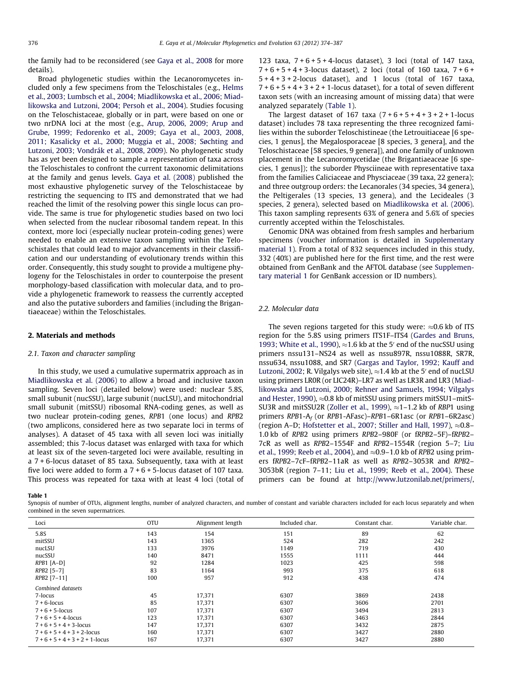<span id="page-2-0"></span>the family had to be reconsidered (see [Gaya et al., 2008](#page-11-0) for more details).

Broad phylogenetic studies within the Lecanoromycetes included only a few specimens from the Teloschistales (e.g., [Helms](#page-11-0) [et al., 2003; Lumbsch et al., 2004; Miadlikowska et al., 2006; Miad](#page-11-0)[likowska and Lutzoni, 2004; Persoh et al., 2004](#page-11-0)). Studies focusing on the Teloschistaceae, globally or in part, were based on one or two nrDNA loci at the most (e.g., [Arup, 2006, 2009; Arup and](#page-11-0) [Grube, 1999; Fedorenko et al., 2009; Gaya et al., 2003, 2008,](#page-11-0) [2011; Kasalicky et al., 2000; Muggia et al., 2008; Søchting and](#page-11-0) [Lutzoni, 2003; Vondrák et al., 2008, 2009](#page-11-0)). No phylogenetic study has as yet been designed to sample a representation of taxa across the Teloschistales to confront the current taxonomic delimitations at the family and genus levels. [Gaya et al. \(2008\)](#page-11-0) published the most exhaustive phylogenetic survey of the Teloschistaceae by restricting the sequencing to ITS and demonstrated that we had reached the limit of the resolving power this single locus can provide. The same is true for phylogenetic studies based on two loci when selected from the nuclear ribosomal tandem repeat. In this context, more loci (especially nuclear protein-coding genes) were needed to enable an extensive taxon sampling within the Teloschistales that could lead to major advancements in their classification and our understanding of evolutionary trends within this order. Consequently, this study sought to provide a multigene phylogeny for the Teloschistales in order to counterpoise the present morphology-based classification with molecular data, and to provide a phylogenetic framework to reassess the currently accepted and also the putative suborders and families (including the Brigantiaeaceae) within the Teloschistales.

#### 2. Materials and methods

#### 2.1. Taxon and character sampling

In this study, we used a cumulative supermatrix approach as in [Miadlikowska et al. \(2006\)](#page-12-0) to allow a broad and inclusive taxon sampling. Seven loci (detailed below) were used: nuclear 5.8S, small subunit (nucSSU), large subunit (nucLSU), and mitochondrial small subunit (mitSSU) ribosomal RNA-coding genes, as well as two nuclear protein-coding genes, RPB1 (one locus) and RPB2 (two amplicons, considered here as two separate loci in terms of analyses). A dataset of 45 taxa with all seven loci was initially assembled; this 7-locus dataset was enlarged with taxa for which at least six of the seven-targeted loci were available, resulting in a 7 + 6-locus dataset of 85 taxa. Subsequently, taxa with at least five loci were added to form a  $7 + 6 + 5$ -locus dataset of 107 taxa. This process was repeated for taxa with at least 4 loci (total of 123 taxa,  $7 + 6 + 5 + 4$ -locus dataset), 3 loci (total of 147 taxa,  $7 + 6 + 5 + 4 + 3$ -locus dataset), 2 loci (total of 160 taxa,  $7 + 6 +$  $5 + 4 + 3 + 2$ -locus dataset), and 1 locus (total of 167 taxa,  $7 + 6 + 5 + 4 + 3 + 2 + 1$ -locus dataset), for a total of seven different taxon sets (with an increasing amount of missing data) that were analyzed separately (Table 1).

The largest dataset of 167 taxa  $(7 + 6 + 5 + 4 + 3 + 2 + 1$ -locus dataset) includes 78 taxa representing the three recognized families within the suborder Teloschistineae (the Letrouitiaceae [6 species, 1 genus], the Megalosporaceae [8 species, 3 genera], and the Teloschistaceae [58 species, 9 genera]), and one family of unknown placement in the Lecanoromycetidae (the Brigantiaeaceae [6 species, 1 genus]); the suborder Physciineae with representative taxa from the families Caliciaceae and Physciaceae (39 taxa, 22 genera); and three outgroup orders: the Lecanorales (34 species, 34 genera), the Peltigerales (13 species, 13 genera), and the Lecideales (3 species, 2 genera), selected based on [Miadlikowska et al. \(2006\).](#page-12-0) This taxon sampling represents 63% of genera and 5.6% of species currently accepted within the Teloschistales.

Genomic DNA was obtained from fresh samples and herbarium specimens (voucher information is detailed in Supplementary material 1). From a total of 832 sequences included in this study, 332 (40%) are published here for the first time, and the rest were obtained from GenBank and the AFTOL database (see Supplementary material 1 for GenBank accession or ID numbers).

#### 2.2. Molecular data

The seven regions targeted for this study were:  ${\approx}0.6$  kb of ITS region for the 5.8S using primers ITS1F–ITS4 [\(Gardes and Bruns,](#page-11-0) [1993; White et al., 1990\)](#page-11-0),  $\approx$  1.6 kb at the 5' end of the nucSSU using primers nssu131–NS24 as well as nssu897R, nssu1088R, SR7R, nssu634, nssu1088, and SR7 [\(Gargas and Taylor, 1992; Kauff and](#page-11-0) [Lutzoni, 2002;](#page-11-0) R. Vilgalys web site),  $\approx$  1.4 kb at the 5' end of nucLSU using primers LR0R (or LIC24R)–LR7 as well as LR3R and LR3 [\(Miad](#page-12-0)[likowska and Lutzoni, 2000; Rehner and Samuels, 1994; Vilgalys](#page-12-0) [and Hester, 1990](#page-12-0)),  $\approx$  0.8 kb of mitSSU using primers mitSSU1–mitS-SU3R and mitSSU2R [\(Zoller et al., 1999\)](#page-13-0),  $\approx$ 1–1.2 kb of RBP1 using primers RPB1-A<sup>f</sup> (or RPB1-AFasc)–RPB1–6R1asc (or RPB1–6R2asc) (region A–D; [Hofstetter et al., 2007; Stiller and Hall, 1997\)](#page-11-0),  ${\approx}0.8$ – 1.0 kb of RPB2 using primers RPB2–980F (or fRPB2–5F)–fRPB2– 7cR as well as RPB2–1554F and RPB2–1554R (region 5–7; [Liu](#page-12-0) [et al., 1999; Reeb et al., 2004\)](#page-12-0), and  $\approx$ 0.9–1.0 kb of RPB2 using primers fRPB2–7cF–fRPB2–11aR as well as RPB2–3053R and RPB2– 3053bR (region 7–11; [Liu et al., 1999; Reeb et al., 2004](#page-12-0)). These primers can be found at [http://www.lutzonilab.net/primers/,](http://www.lutzonilab.net/primers/)

#### Table 1

Synopsis of number of OTUs, alignment lengths, number of analyzed characters, and number of constant and variable characters included for each locus separately and when combined in the seven supermatrices.

| Loci                           | <b>OTU</b> | Alignment length | Included char. | Constant char. | Variable char. |
|--------------------------------|------------|------------------|----------------|----------------|----------------|
| 5.8S                           | 143        | 154              | 151            | 89             | 62             |
| mitSSU                         | 143        | 1365             | 524            | 282            | 242            |
| nucLSU                         | 133        | 3976             | 1149           | 719            | 430            |
| nucSSU                         | 140        | 8471             | 1555           | 1111           | 444            |
| $RPB1$ [A-D]                   | 92         | 1284             | 1023           | 425            | 598            |
| RPB2 [5-7]                     | 83         | 1164             | 993            | 375            | 618            |
| RPB2 [7-11]                    | 100        | 957              | 912            | 438            | 474            |
| Combined datasets              |            |                  |                |                |                |
| 7-locus                        | 45         | 17,371           | 6307           | 3869           | 2438           |
| $7 + 6$ -locus                 | 85         | 17.371           | 6307           | 3606           | 2701           |
| $7 + 6 + 5$ -locus             | 107        | 17.371           | 6307           | 3494           | 2813           |
| $7 + 6 + 5 + 4$ -locus         | 123        | 17.371           | 6307           | 3463           | 2844           |
| $7 + 6 + 5 + 4 + 3$ -locus     | 147        | 17.371           | 6307           | 3432           | 2875           |
| $7 + 6 + 5 + 4 + 3 + 2$ -locus | 160        | 17,371           | 6307           | 3427           | 2880           |
| $7+6+5+4+3+2+1$ -locus         | 167        | 17,371           | 6307           | 3427           | 2880           |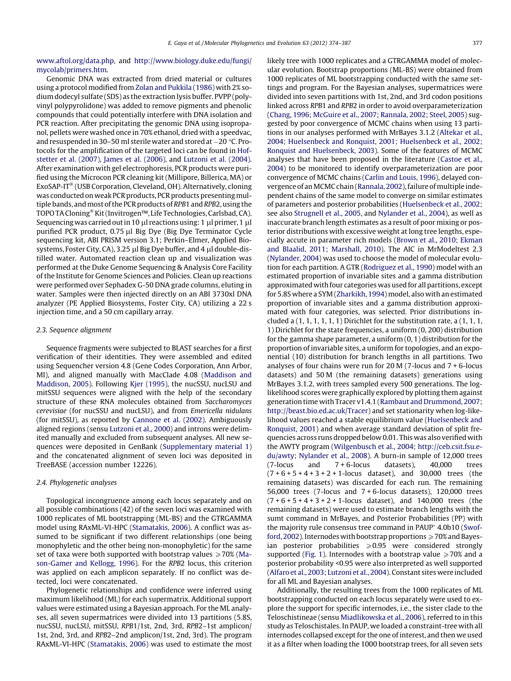[www.aftol.org/data.php,](http://www.aftol.org/data.php) and [http://www.biology.duke.edu/fungi/](http://www.biology.duke.edu/fungi/mycolab/primers.htm) [mycolab/primers.htm](http://www.biology.duke.edu/fungi/mycolab/primers.htm).

Genomic DNA was extracted from dried material or cultures using a protocol modified from [Zolan and Pukkila \(1986\)](#page-13-0) with 2% sodium dodecyl sulfate (SDS) as the extraction lysis buffer. PVPP (polyvinyl polypyrolidone) was added to remove pigments and phenolic compounds that could potentially interfere with DNA isolation and PCR reaction. After precipitating the genomic DNA using isopropanol, pellets were washed once in 70% ethanol, dried with a speedvac, and resuspended in 30–50 ml sterile water and stored at  $-20$  °C. Protocols for the amplification of the targeted loci can be found in [Hof](#page-11-0)[stetter et al. \(2007\), James et al. \(2006\),](#page-11-0) and [Lutzoni et al. \(2004\).](#page-12-0) After examination with gel electrophoresis, PCR products were purified using the Microcon PCR cleaning kit (Millipore, Billerica, MA) or ExoSAP-IT<sup>®</sup> (USB Corporation, Cleveland, OH). Alternatively, cloning was conducted on weak PCR products, PCR products presentingmultiple bands, and most of the PCR products of RPB1 and RPB2, using the TOPO TA Cloning<sup>®</sup> Kit (Invitrogen™, Life Technologies, Carlsbad, CA). Sequencing was carried out in 10  $\mu$ l reactions using: 1  $\mu$ l primer, 1  $\mu$ l purified PCR product, 0.75 µl Big Dye (Big Dye Terminator Cycle sequencing kit, ABI PRISM version 3.1; Perkin–Elmer, Applied Biosystems, Foster City, CA), 3.25 µl Big Dye buffer, and 4 µl double-distilled water. Automated reaction clean up and visualization was performed at the Duke Genome Sequencing & Analysis Core Facility of the Institute for Genome Sciences and Policies. Clean up reactions were performed over Sephadex G-50 DNA grade columns, eluting in water. Samples were then injected directly on an ABI 3730xl DNA analyzer (PE Applied Biosystems, Foster City, CA) utilizing a 22 s injection time, and a 50 cm capillary array.

#### 2.3. Sequence alignment

Sequence fragments were subjected to BLAST searches for a first verification of their identities. They were assembled and edited using Sequencher version 4.8 (Gene Codes Corporation, Ann Arbor, MI), and aligned manually with MacClade 4.08 ([Maddison and](#page-12-0) [Maddison, 2005\)](#page-12-0). Following [Kjer \(1995\)](#page-12-0), the nucSSU, nucLSU and mitSSU sequences were aligned with the help of the secondary structure of these RNA molecules obtained from Saccharomyces cerevisiae (for nucSSU and nucLSU), and from Emericella nidulans (for mitSSU), as reported by [Cannone et al. \(2002\).](#page-11-0) Ambiguously aligned regions (sensu [Lutzoni et al., 2000](#page-12-0)) and introns were delimited manually and excluded from subsequent analyses. All new sequences were deposited in GenBank (Supplementary material 1) and the concatenated alignment of seven loci was deposited in TreeBASE (accession number 12226).

#### 2.4. Phylogenetic analyses

Topological incongruence among each locus separately and on all possible combinations (42) of the seven loci was examined with 1000 replicates of ML bootstrapping (ML-BS) and the GTRGAMMA model using RAxML-VI-HPC [\(Stamatakis, 2006](#page-12-0)). A conflict was assumed to be significant if two different relationships (one being monophyletic and the other being non-monophyletic) for the same set of taxa were both supported with bootstrap values  $\geq 70\%$  [\(Ma](#page-12-0)[son-Gamer and Kellogg, 1996](#page-12-0)). For the RPB2 locus, this criterion was applied on each amplicon separately. If no conflict was detected, loci were concatenated.

Phylogenetic relationships and confidence were inferred using maximum likelihood (ML) for each supermatrix. Additional support values were estimated using a Bayesian approach. For the ML analyses, all seven supermatrices were divided into 13 partitions (5.8S, nucSSU, nucLSU, mitSSU, RPB1/1st, 2nd, 3rd, RPB2–1st amplicon/ 1st, 2nd, 3rd, and RPB2–2nd amplicon/1st, 2nd, 3rd). The program RAxML-VI-HPC [\(Stamatakis, 2006](#page-12-0)) was used to estimate the most likely tree with 1000 replicates and a GTRGAMMA model of molecular evolution. Bootstrap proportions (ML-BS) were obtained from 1000 replicates of ML bootstrapping conducted with the same settings and program. For the Bayesian analyses, supermatrices were divided into seven partitions with 1st, 2nd, and 3rd codon positions linked across RPB1 and RPB2 in order to avoid overparameterization ([Chang, 1996; McGuire et al., 2007; Rannala, 2002; Steel, 2005\)](#page-11-0) suggested by poor convergence of MCMC chains when using 13 partitions in our analyses performed with MrBayes 3.1.2 ([Altekar et al.,](#page-11-0) [2004; Huelsenbeck and Ronquist, 2001; Huelsenbeck et al., 2002;](#page-11-0) [Ronquist and Huelsenbeck, 2003\)](#page-11-0). Some of the features of MCMC analyses that have been proposed in the literature ([Castoe et al.,](#page-11-0) [2004](#page-11-0)) to be monitored to identify overparameterization are poor convergence of MCMC chains ([Carlin and Louis, 1996\)](#page-11-0), delayed con-vergence of an MCMC chain ([Rannala, 2002](#page-12-0)), failure of multiple independent chains of the same model to converge on similar estimates of parameters and posterior probabilities [\(Huelsenbeck et al., 2002;](#page-11-0) see also [Strugnell et al., 2005,](#page-12-0) and [Nylander et al., 2004](#page-12-0)), as well as inaccurate branch length estimates as a result of poor mixing or posterior distributions with excessive weight at long tree lengths, especially accute in parameter rich models [\(Brown et al., 2010; Ekman](#page-11-0) [and Blaalid, 2011; Marshall, 2010](#page-11-0)). The AIC in MrModeltest 2.3 ([Nylander, 2004\)](#page-12-0) was used to choose the model of molecular evolution for each partition. A GTR ([Rodriguez et al., 1990\)](#page-12-0) model with an estimated proportion of invariable sites and a gamma distribution approximated with four categories was used for all partitions, except for 5.8S where a SYM ([Zharkikh, 1994](#page-13-0)) model, also with an estimated proportion of invariable sites and a gamma distribution approximated with four categories, was selected. Prior distributions included a  $(1, 1, 1, 1, 1, 1)$  Dirichlet for the substitution rate, a  $(1, 1, 1, 1)$ 1) Dirichlet for the state frequencies, a uniform (0, 200) distribution for the gamma shape parameter, a uniform (0, 1) distribution for the proportion of invariable sites, a uniform for topologies, and an exponential (10) distribution for branch lengths in all partitions. Two analyses of four chains were run for 20 M (7-locus and 7 + 6-locus datasets) and 50 M (the remaining datasets) generations using MrBayes 3.1.2, with trees sampled every 500 generations. The loglikelihood scores were graphically explored by plotting them against generation time with Tracer v1.4.1 [\(Rambaut and Drummond, 2007;](#page-12-0) [http://beast.bio.ed.ac.uk/Tracer\)](http://www.beast.bio.ed.ac.uk/Tracer) and set stationarity when log-likelihood values reached a stable equilibrium value [\(Huelsenbeck and](#page-11-0) [Ronquist, 2001](#page-11-0)) and when average standard deviation of split frequencies across runs dropped below 0.01. This was also verified with the AWTY program [\(Wilgenbusch et al., 2004](#page-13-0); [http://ceb.csit.fsu.e](http://www.ceb.csit.fsu.edu/awty)[du/awty;](http://www.ceb.csit.fsu.edu/awty) [Nylander et al., 2008](#page-12-0)). A burn-in sample of 12,000 trees (7-locus and 7 + 6-locus datasets), 40,000 trees  $(7 + 6 + 5 + 4 + 3 + 2 + 1$ -locus dataset), and 30,000 trees (the remaining datasets) was discarded for each run. The remaining 56,000 trees (7-locus and 7 + 6-locus datasets), 120,000 trees  $(7 + 6 + 5 + 4 + 3 + 2 + 1$ -locus dataset), and 140,000 trees (the remaining datasets) were used to estimate branch lengths with the sumt command in MrBayes, and Posterior Probabilities (PP) with the majority rule consensus tree command in PAUP<sup>\*</sup> 4.0b10 ([Swof](#page-12-0)[ford, 2002](#page-12-0)). Internodes with bootstrap proportions  $\geqslant70\%$  and Bayesian posterior probabilities  $\geqslant 0.95$  were considered strongly supported ([Fig. 1](#page-5-0)). Internodes with a bootstrap value  $\geq 70\%$  and a posterior probability <0.95 were also interpreted as well supported ([Alfaro et al., 2003; Lutzoni et al., 2004\)](#page-11-0). Constant sites were included for all ML and Bayesian analyses.

Additionally, the resulting trees from the 1000 replicates of ML bootstrapping conducted on each locus separately were used to explore the support for specific internodes, i.e., the sister clade to the Teloschistineae (sensu [Miadlikowska et al., 2006\)](#page-12-0), referred to in this study as Teloschistales. In PAUP, we loaded a constraint-tree with all internodes collapsed except for the one of interest, and then we used it as a filter when loading the 1000 bootstrap trees, for all seven sets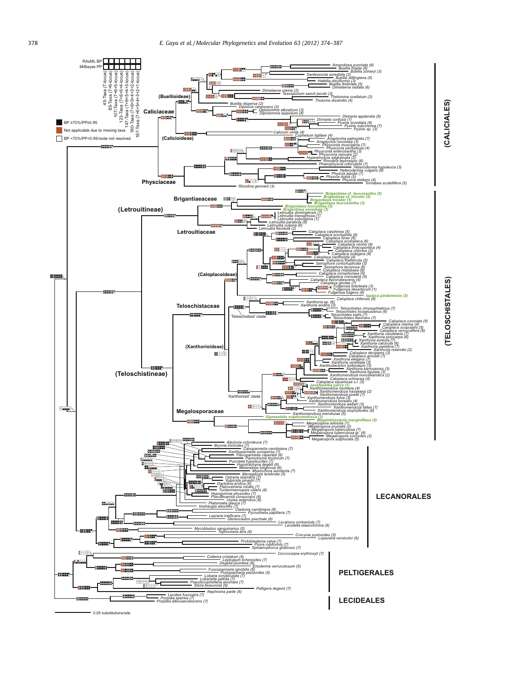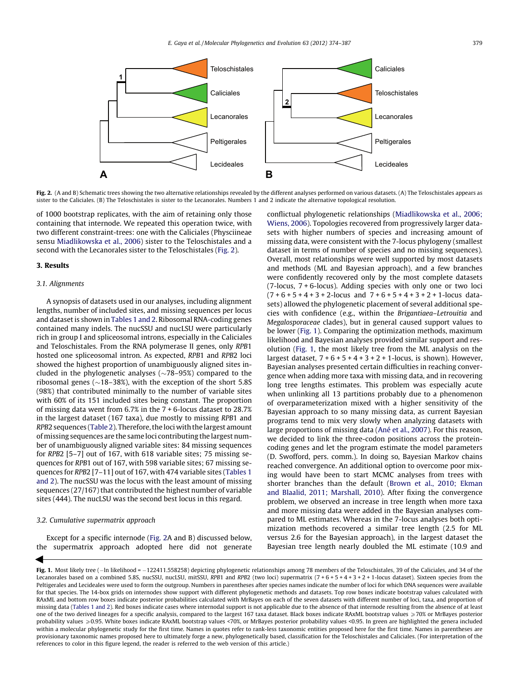<span id="page-5-0"></span>

Fig. 2. (A and B) Schematic trees showing the two alternative relationships revealed by the different analyses performed on various datasets. (A) The Teloschistales appears as sister to the Caliciales. (B) The Teloschistales is sister to the Lecanorales. Numbers 1 and 2 indicate the alternative topological resolution.

of 1000 bootstrap replicates, with the aim of retaining only those containing that internode. We repeated this operation twice, with two different constraint-trees: one with the Caliciales (Physciineae sensu [Miadlikowska et al., 2006\)](#page-12-0) sister to the Teloschistales and a second with the Lecanorales sister to the Teloschistales (Fig. 2).

#### 3. Results

#### 3.1. Alignments

A synopsis of datasets used in our analyses, including alignment lengths, number of included sites, and missing sequences per locus and dataset is shown in [Tables 1 and 2.](#page-2-0) Ribosomal RNA-coding genes contained many indels. The nucSSU and nucLSU were particularly rich in group I and spliceosomal introns, especially in the Caliciales and Teloschistales. From the RNA polymerase II genes, only RPB1 hosted one spliceosomal intron. As expected, RPB1 and RPB2 loci showed the highest proportion of unambiguously aligned sites included in the phylogenetic analyses ( $\sim$ 78–95%) compared to the ribosomal genes ( $\sim$ 18–38%), with the exception of the short 5.8S (98%) that contributed minimally to the number of variable sites with 60% of its 151 included sites being constant. The proportion of missing data went from 6.7% in the 7 + 6-locus dataset to 28.7% in the largest dataset (167 taxa), due mostly to missing RPB1 and RPB2 sequences [\(Table 2\)](#page-6-0). Therefore, the loci with the largest amount of missing sequences are the same loci contributing the largest number of unambiguously aligned variable sites: 84 missing sequences for RPB2 [5–7] out of 167, with 618 variable sites; 75 missing sequences for RPB1 out of 167, with 598 variable sites; 67 missing sequences for RPB2 [7–11] out of 167, with 474 variable sites [\(Tables 1](#page-2-0) [and 2](#page-2-0)). The nucSSU was the locus with the least amount of missing sequences (27/167) that contributed the highest number of variable sites (444). The nucLSU was the second best locus in this regard.

## 3.2. Cumulative supermatrix approach

 $\blacktriangleleft$ 

Except for a specific internode (Fig. 2A and B) discussed below, the supermatrix approach adopted here did not generate conflictual phylogenetic relationships ([Miadlikowska et al., 2006;](#page-12-0) [Wiens, 2006](#page-12-0)). Topologies recovered from progressively larger datasets with higher numbers of species and increasing amount of missing data, were consistent with the 7-locus phylogeny (smallest dataset in terms of number of species and no missing sequences). Overall, most relationships were well supported by most datasets and methods (ML and Bayesian approach), and a few branches were confidently recovered only by the most complete datasets (7-locus, 7 + 6-locus). Adding species with only one or two loci  $(7 + 6 + 5 + 4 + 3 + 2$ -locus and  $7 + 6 + 5 + 4 + 3 + 2 + 1$ -locus datasets) allowed the phylogenetic placement of several additional species with confidence (e.g., within the Brigantiaea–Letrouitia and Megalosporaceae clades), but in general caused support values to be lower (Fig. 1). Comparing the optimization methods, maximum likelihood and Bayesian analyses provided similar support and resolution (Fig. 1, the most likely tree from the ML analysis on the largest dataset,  $7 + 6 + 5 + 4 + 3 + 2 + 1$ -locus, is shown). However, Bayesian analyses presented certain difficulties in reaching convergence when adding more taxa with missing data, and in recovering long tree lengths estimates. This problem was especially acute when unlinking all 13 partitions probably due to a phenomenon of overparameterization mixed with a higher sensitivity of the Bayesian approach to so many missing data, as current Bayesian programs tend to mix very slowly when analyzing datasets with large proportions of missing data ([Ané et al., 2007](#page-11-0)). For this reason, we decided to link the three-codon positions across the proteincoding genes and let the program estimate the model parameters (D. Swofford, pers. comm.). In doing so, Bayesian Markov chains reached convergence. An additional option to overcome poor mixing would have been to start MCMC analyses from trees with shorter branches than the default [\(Brown et al., 2010; Ekman](#page-11-0) [and Blaalid, 2011; Marshall, 2010](#page-11-0)). After fixing the convergence problem, we observed an increase in tree length when more taxa and more missing data were added in the Bayesian analyses compared to ML estimates. Whereas in the 7-locus analyses both optimization methods recovered a similar tree length (2.5 for ML versus 2.6 for the Bayesian approach), in the largest dataset the Bayesian tree length nearly doubled the ML estimate (10.9 and

Fig. 1. Most likely tree (-In likelihood = -122411.558258) depicting phylogenetic relationships among 78 members of the Teloschistales, 39 of the Caliciales, and 34 of the Lecanorales based on a combined 5.8S, nucSSU, nucLSU, mitSSU, RPB1 and RPB2 (two loci) supermatrix (7 + 6 + 5 + 4 + 3 + 2 + 1-locus dataset). Sixteen species from the Peltigerales and Lecideales were used to form the outgroup. Numbers in parentheses after species names indicate the number of loci for which DNA sequences were available for that species. The 14-box grids on internodes show support with different phylogenetic methods and datasets. Top row boxes indicate bootstrap values calculated with RAxML and bottom row boxes indicate posterior probabilities calculated with MrBayes on each of the seven datasets with different number of loci, taxa, and proportion of missing data [\(Tables 1 and 2](#page-2-0)). Red boxes indicate cases where internodal support is not applicable due to the absence of that internode resulting from the absence of at least one of the two derived lineages for a specific analysis, compared to the largest 167 taxa dataset. Black boxes indicate RAxML bootstrap values  $\geqslant70\%$  or MrBayes posterior probability values ≥0.95. White boxes indicate RAxML bootstrap values <70%, or MrBayes posterior probability values <0.95. In green are highlighted the genera included within a molecular phylogenetic study for the first time. Names in quotes refer to rank-less taxonomic entities proposed here for the first time. Names in parentheses are provisionary taxonomic names proposed here to ultimately forge a new, phylogenetically based, classification for the Teloschistales and Caliciales. (For interpretation of the references to color in this figure legend, the reader is referred to the web version of this article.)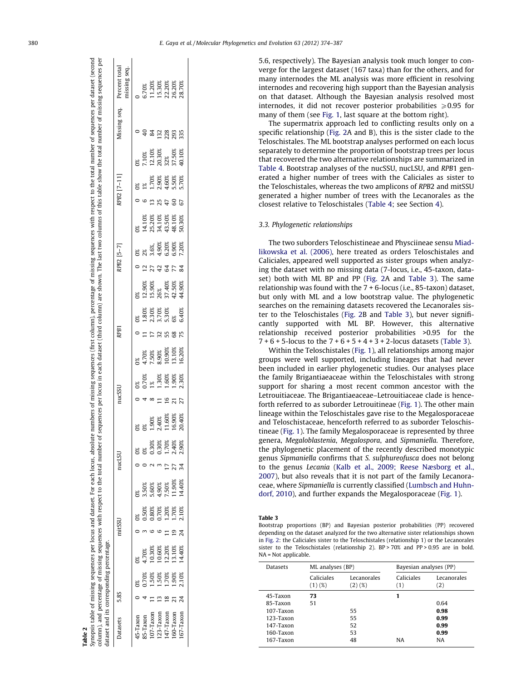| Percent total<br>nissing seq. |                |                                                                                                       |                | 5.70%<br>11.20%<br>15.30%<br>22.20%<br>26.20%        |               |                |          |
|-------------------------------|----------------|-------------------------------------------------------------------------------------------------------|----------------|------------------------------------------------------|---------------|----------------|----------|
| Aissing seq.                  |                |                                                                                                       |                | 132                                                  |               | 228<br>293     | 335      |
|                               |                |                                                                                                       |                | 7.10%<br>12.10%<br>20.30%                            | 32%<br>37.50% |                | 40.10%   |
| RPB2 [7-11]                   |                |                                                                                                       |                | $\frac{1.70\%}{2.90\%}$<br>2.90%<br>5.50%<br>5.70%   |               |                |          |
|                               |                |                                                                                                       |                |                                                      |               |                | 67       |
|                               | ര്             | 14.10%<br>25.20%<br>34.10%<br>48.10%<br>48.10%                                                        |                |                                                      |               |                |          |
| RPB2 [5-7]                    | $0\frac{8}{3}$ | $2\%$<br>$3.6\%$<br>$4.90\%$<br>$6.20\%$<br>$6.90\%$<br>$7.20\%$                                      |                |                                                      |               |                |          |
|                               |                |                                                                                                       |                |                                                      | 3             |                |          |
|                               | ೫              | $\begin{array}{l} 12.90\% \\ 15.90\% \\ 15.90\% \\ 26\% \\ 37.40\% \\ 42.50\% \\ 44.90\% \end{array}$ |                |                                                      |               |                |          |
|                               | $\frac{08}{1}$ | $\begin{array}{l} 1.80\% \\ 2.30\% \\ 3.70\% \\ 5.30\% \\ 6.8\end{array}$                             |                |                                                      |               |                | 6.40%    |
| RPB <sub>1</sub>              |                |                                                                                                       | $\overline{C}$ |                                                      |               |                |          |
|                               |                | $\begin{array}{l} 4.70\% \\ 7.50\% \\ 8.90\% \\ 10.90\% \\ 13.10\% \\ 14.10\% \end{array}$            |                |                                                      |               |                |          |
|                               |                | 0%<br>0.70%<br>1%                                                                                     |                | 1.30%                                                | .60%          | 1.90%<br>2.30% |          |
| nucSSU                        |                |                                                                                                       |                |                                                      | $\circ$       |                | 77       |
|                               |                |                                                                                                       |                | $\frac{1.90\%}{2.40\%}$<br>2.40%<br>11.60%<br>16.90% |               |                |          |
|                               |                |                                                                                                       | 0.30%          | 130%                                                 | 1.70%         | .40%           | 2.90%    |
| nucLSU                        |                |                                                                                                       |                |                                                      |               |                |          |
|                               |                | 3.50%                                                                                                 | 5.60%          | 4.90%                                                | 7.50%         | 11.90%         | 14.40%   |
|                               | $\sim 0\%$     | 0.50%                                                                                                 | 0.80%          | 0.70%                                                | 1.20%         | 1.70%          | 2.10%    |
| mitSSU                        |                |                                                                                                       |                |                                                      |               |                |          |
|                               |                | .70%                                                                                                  | 10.30%         | 10.60%                                               | 12.20%        | 13.10%         | 14.40%   |
|                               | $\frac{1}{2}$  | 0.70%                                                                                                 | 1.50%          | 1.50%                                                | 1.70%         | 1.90%          | 2.10%    |
| 5.8S                          |                |                                                                                                       |                |                                                      | $\approx$     |                |          |
| Datasets                      | 45-Taxon       | 35-Taxon                                                                                              | $107$ -Taxon   | 23-Taxon                                             | 47-Taxon      | .60-Taxon      | 67-Taxon |

Synopsis table of missing sequences per locus and dataset. For each locus, absolute numbers of missing sequences (first column), percentage of missing sequences with respect to the total number of sequences per dataset (se

dataset.

Synopsis table of missing sequences per locus and

For each locus, absolute numbers of missing sequences (first column), percentage of missing sequences with respect to the

<span id="page-6-0"></span>number of sequences per dataset (second

total I

Table 2

5.6, respectively). The Bayesian analysis took much longer to converge for the largest dataset (167 taxa) than for the others, and for many internodes the ML analysis was more efficient in resolving internodes and recovering high support than the Bayesian analysis on that dataset. Although the Bayesian analysis resolved most internodes, it did not recover posterior probabilities  $\geqslant$  0.95 for many of them (see [Fig. 1](#page-5-0), last square at the bottom right).

The supermatrix approach led to conflicting results only on a specific relationship [\(Fig. 2A](#page-5-0) and B), this is the sister clade to the Teloschistales. The ML bootstrap analyses performed on each locus separately to determine the proportion of bootstrap trees per locus that recovered the two alternative relationships are summarized in [Table 4](#page-7-0). Bootstrap analyses of the nucSSU, nucLSU, and RPB1 generated a higher number of trees with the Caliciales as sister to the Teloschistales, whereas the two amplicons of RPB2 and mitSSU generated a higher number of trees with the Lecanorales as the closest relative to Teloschistales [\(Table 4](#page-7-0); see Section [4](#page-7-0)).

#### 3.3. Phylogenetic relationships

The two suborders Teloschistineae and Physciineae sensu [Miad](#page-12-0)[likowska et al. \(2006\),](#page-12-0) here treated as orders Teloschistales and Caliciales, appeared well supported as sister groups when analyzing the dataset with no missing data (7-locus, i.e., 45-taxon, dataset) both with ML BP and PP [\(Fig. 2](#page-5-0)A and Table 3). The same relationship was found with the 7 + 6-locus (i.e., 85-taxon) dataset, but only with ML and a low bootstrap value. The phylogenetic searches on the remaining datasets recovered the Lecanorales sister to the Teloschistales [\(Fig. 2B](#page-5-0) and Table 3), but never significantly supported with ML BP. However, this alternative relationship received posterior probabilities >0.95 for the  $7 + 6 + 5$ -locus to the  $7 + 6 + 5 + 4 + 3 + 2$ -locus datasets (Table 3).

Within the Teloschistales ([Fig. 1](#page-5-0)), all relationships among major groups were well supported, including lineages that had never been included in earlier phylogenetic studies. Our analyses place the family Brigantiaeaceae within the Teloschistales with strong support for sharing a most recent common ancestor with the Letrouitiaceae. The Brigantiaeaceae–Letrouitiaceae clade is henceforth referred to as suborder Letrouitineae [\(Fig. 1](#page-5-0)). The other main lineage within the Teloschistales gave rise to the Megalosporaceae and Teloschistaceae, henceforth referred to as suborder Teloschistineae [\(Fig. 1](#page-5-0)). The family Megalosporaceae is represented by three genera, Megaloblastenia, Megalospora, and Sipmaniella. Therefore, the phylogenetic placement of the recently described monotypic genus Sipmaniella confirms that S. sulphureofusca does not belong to the genus Lecania [\(Kalb et al., 2009; Reese Næsborg et al.,](#page-11-0) [2007\)](#page-11-0), but also reveals that it is not part of the family Lecanoraceae, where Sipmaniella is currently classified ([Lumbsch and Huhn](#page-12-0)[dorf, 2010\)](#page-12-0), and further expands the Megalosporaceae ([Fig. 1\)](#page-5-0).

Table 3

Bootstrap proportions (BP) and Bayesian posterior probabilities (PP) recovered depending on the dataset analyzed for the two alternative sister relationships shown in [Fig. 2](#page-5-0): the Caliciales sister to the Teloschistales (relationship 1) or the Lecanorales sister to the Teloschistales (relationship 2). BP > 70% and PP > 0.95 are in bold. NA = Not applicable.

| <b>Datasets</b> | ML analyses (BP)     |                          | Bayesian analyses (PP) |                    |  |
|-----------------|----------------------|--------------------------|------------------------|--------------------|--|
|                 | Caliciales<br>(1)(%) | Lecanorales<br>$(2)$ (%) | Caliciales<br>(1)      | Lecanorales<br>(2) |  |
| 45-Taxon        | 73                   |                          | 1                      |                    |  |
| 85-Taxon        | 51                   |                          |                        | 0.64               |  |
| $107 - Taxon$   |                      | 55                       |                        | 0.98               |  |
| $123 - Taxon$   |                      | 55                       |                        | 0.99               |  |
| 147-Taxon       |                      | 52                       |                        | 0.99               |  |
| 160-Taxon       |                      | 53                       |                        | 0.99               |  |
| 167-Taxon       |                      | 48                       | NA                     | NA                 |  |
|                 |                      |                          |                        |                    |  |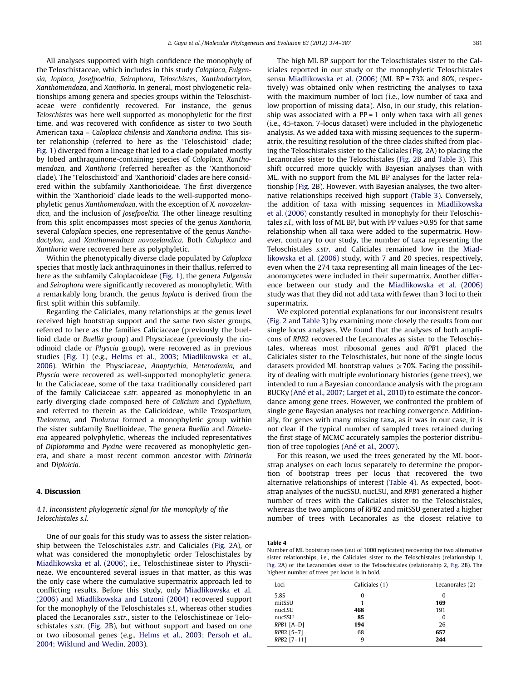<span id="page-7-0"></span>All analyses supported with high confidence the monophyly of the Teloschistaceae, which includes in this study Caloplaca, Fulgensia, Ioplaca, Josefpoeltia, Seirophora, Teloschistes, Xanthodactylon, Xanthomendoza, and Xanthoria. In general, most phylogenetic relationships among genera and species groups within the Teloschistaceae were confidently recovered. For instance, the genus Teloschistes was here well supported as monophyletic for the first time, and was recovered with confidence as sister to two South American taxa – Caloplaca chilensis and Xanthoria andina. This sister relationship (referred to here as the 'Teloschistoid' clade; [Fig. 1](#page-5-0)) diverged from a lineage that led to a clade populated mostly by lobed anthraquinone-containing species of Caloplaca, Xanthomendoza, and Xanthoria (referred hereafter as the 'Xanthorioid' clade). The 'Teloschistoid' and 'Xanthorioid' clades are here considered within the subfamily Xanthorioideae. The first divergence within the 'Xanthorioid' clade leads to the well-supported monophyletic genus Xanthomendoza, with the exception of X. novozelandica, and the inclusion of Josefpoeltia. The other lineage resulting from this split encompasses most species of the genus Xanthoria, several Caloplaca species, one representative of the genus Xanthodactylon, and Xanthomendoza novozelandica. Both Caloplaca and Xanthoria were recovered here as polyphyletic.

Within the phenotypically diverse clade populated by Caloplaca species that mostly lack anthraquinones in their thallus, referred to here as the subfamily Caloplacoideae [\(Fig. 1\)](#page-5-0), the genera Fulgensia and Seirophora were significantly recovered as monophyletic. With a remarkably long branch, the genus Ioplaca is derived from the first split within this subfamily.

Regarding the Caliciales, many relationships at the genus level received high bootstrap support and the same two sister groups, referred to here as the families Caliciaceae (previously the buellioid clade or Buellia group) and Physciaceae (previously the rinodinoid clade or Physcia group), were recovered as in previous studies [\(Fig. 1\)](#page-5-0) (e.g., [Helms et al., 2003; Miadlikowska et al.,](#page-11-0) [2006](#page-11-0)). Within the Physciaceae, Anaptychia, Heterodemia, and Physcia were recovered as well-supported monophyletic genera. In the Caliciaceae, some of the taxa traditionally considered part of the family Caliciaceae s.str. appeared as monophyletic in an early diverging clade composed here of Calicium and Cyphelium, and referred to therein as the Calicioideae, while Texosporium, Thelomma, and Tholurna formed a monophyletic group within the sister subfamily Buellioideae. The genera Buellia and Dimelaena appeared polyphyletic, whereas the included representatives of Diplotomma and Pyxine were recovered as monophyletic genera, and share a most recent common ancestor with Dirinaria and Diploicia.

#### 4. Discussion

#### 4.1. Inconsistent phylogenetic signal for the monophyly of the Teloschistales s.l.

One of our goals for this study was to assess the sister relationship between the Teloschistales s.str. and Caliciales [\(Fig. 2A](#page-5-0)), or what was considered the monophyletic order Teloschistales by [Miadlikowska et al. \(2006\)](#page-12-0), i.e., Teloschistineae sister to Physciineae. We encountered several issues in that matter, as this was the only case where the cumulative supermatrix approach led to conflicting results. Before this study, only [Miadlikowska et al.](#page-12-0) [\(2006\)](#page-12-0) and [Miadlikowska and Lutzoni \(2004\)](#page-12-0) recovered support for the monophyly of the Teloschistales s.l., whereas other studies placed the Lecanorales s.str., sister to the Teloschistineae or Teloschistales s.str. ([Fig. 2](#page-5-0)B), but without support and based on one or two ribosomal genes (e.g., [Helms et al., 2003; Persoh et al.,](#page-11-0) [2004; Wiklund and Wedin, 2003](#page-11-0)).

The high ML BP support for the Teloschistales sister to the Caliciales reported in our study or the monophyletic Teloschistales sensu [Miadlikowska et al. \(2006\)](#page-12-0) (ML BP = 73% and 80%, respectively) was obtained only when restricting the analyses to taxa with the maximum number of loci (i.e., low number of taxa and low proportion of missing data). Also, in our study, this relationship was associated with a  $PP = 1$  only when taxa with all genes (i.e., 45-taxon, 7-locus dataset) were included in the phylogenetic analysis. As we added taxa with missing sequences to the supermatrix, the resulting resolution of the three clades shifted from placing the Teloschistales sister to the Caliciales ([Fig. 2A](#page-5-0)) to placing the Lecanorales sister to the Teloschistales ([Fig. 2](#page-5-0)B and [Table 3](#page-6-0)). This shift occurred more quickly with Bayesian analyses than with ML, with no support from the ML BP analyses for the latter relationship ([Fig. 2](#page-5-0)B). However, with Bayesian analyses, the two alternative relationships received high support [\(Table 3\)](#page-6-0). Conversely, the addition of taxa with missing sequences in [Miadlikowska](#page-12-0) [et al. \(2006\)](#page-12-0) constantly resulted in monophyly for their Teloschistales s.l., with loss of ML BP, but with PP values >0.95 for that same relationship when all taxa were added to the supermatrix. However, contrary to our study, the number of taxa representing the Teloschistales s.str. and Caliciales remained low in the [Miad](#page-12-0)[likowska et al. \(2006\)](#page-12-0) study, with 7 and 20 species, respectively, even when the 274 taxa representing all main lineages of the Lecanoromycetes were included in their supermatrix. Another difference between our study and the [Miadlikowska et al. \(2006\)](#page-12-0) study was that they did not add taxa with fewer than 3 loci to their supermatrix.

We explored potential explanations for our inconsistent results ([Fig. 2](#page-5-0) and [Table 3\)](#page-6-0) by examining more closely the results from our single locus analyses. We found that the analyses of both amplicons of RPB2 recovered the Lecanorales as sister to the Teloschistales, whereas most ribosomal genes and RPB1 placed the Caliciales sister to the Teloschistales, but none of the single locus datasets provided ML bootstrap values  $\geq 70\%$ . Facing the possibility of dealing with multiple evolutionary histories (gene trees), we intended to run a Bayesian concordance analysis with the program BUCKy [\(Ané et al., 2007; Larget et al., 2010](#page-11-0)) to estimate the concordance among gene trees. However, we confronted the problem of single gene Bayesian analyses not reaching convergence. Additionally, for genes with many missing taxa, as it was in our case, it is not clear if the typical number of sampled trees retained during the first stage of MCMC accurately samples the posterior distribution of tree topologies [\(Ané et al., 2007\)](#page-11-0).

For this reason, we used the trees generated by the ML bootstrap analyses on each locus separately to determine the proportion of bootstrap trees per locus that recovered the two alternative relationships of interest (Table 4). As expected, bootstrap analyses of the nucSSU, nucLSU, and RPB1 generated a higher number of trees with the Caliciales sister to the Teloschistales, whereas the two amplicons of RPB2 and mitSSU generated a higher number of trees with Lecanorales as the closest relative to

#### Table 4

Number of ML bootstrap trees (out of 1000 replicates) recovering the two alternative sister relationships, i.e., the Caliciales sister to the Teloschistales (relationship 1, [Fig. 2A](#page-5-0)) or the Lecanorales sister to the Teloschistales (relationship 2, [Fig. 2B](#page-5-0)). The highest number of trees per locus is in bold.

| Loci         | Caliciales (1) | Lecanorales (2) |
|--------------|----------------|-----------------|
| 5.8S         | 0              | 0               |
| mitSSU       |                | 169             |
| nucLSU       | 468            | 191             |
| nucSSU       | 85             | 0               |
| $RPB1$ [A-D] | 194            | 26              |
| $RPB2$ [5-7] | 68             | 657             |
| RPB2 [7-11]  | 9              | 244             |
|              |                |                 |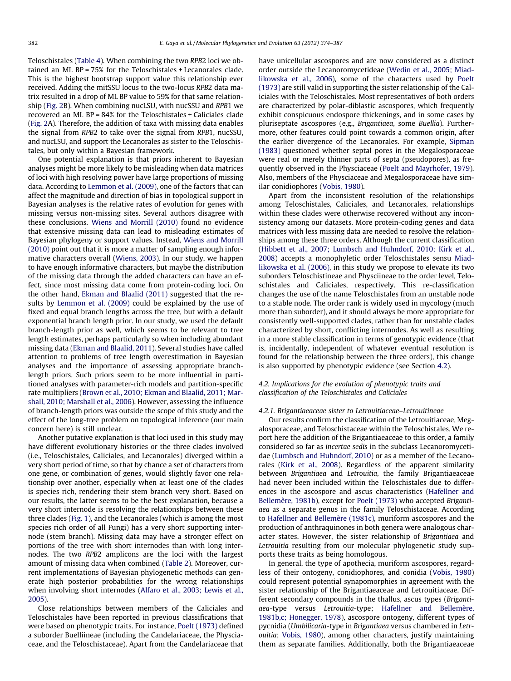Teloschistales [\(Table 4](#page-7-0)). When combining the two RPB2 loci we obtained an ML BP = 75% for the Teloschistales + Lecanorales clade. This is the highest bootstrap support value this relationship ever received. Adding the mitSSU locus to the two-locus RPB2 data matrix resulted in a drop of ML BP value to 59% for that same relationship ([Fig. 2B](#page-5-0)). When combining nucLSU, with nucSSU and RPB1 we recovered an ML BP = 84% for the Teloschistales + Caliciales clade ([Fig. 2A](#page-5-0)). Therefore, the addition of taxa with missing data enables the signal from RPB2 to take over the signal from RPB1, nucSSU, and nucLSU, and support the Lecanorales as sister to the Teloschistales, but only within a Bayesian framework.

One potential explanation is that priors inherent to Bayesian analyses might be more likely to be misleading when data matrices of loci with high resolving power have large proportions of missing data. According to [Lemmon et al. \(2009\),](#page-12-0) one of the factors that can affect the magnitude and direction of bias in topological support in Bayesian analyses is the relative rates of evolution for genes with missing versus non-missing sites. Several authors disagree with these conclusions. [Wiens and Morrill \(2010\)](#page-13-0) found no evidence that extensive missing data can lead to misleading estimates of Bayesian phylogeny or support values. Instead, [Wiens and Morrill](#page-13-0) [\(2010\)](#page-13-0) point out that it is more a matter of sampling enough informative characters overall ([Wiens, 2003](#page-13-0)). In our study, we happen to have enough informative characters, but maybe the distribution of the missing data through the added characters can have an effect, since most missing data come from protein-coding loci. On the other hand, [Ekman and Blaalid \(2011\)](#page-11-0) suggested that the results by [Lemmon et al. \(2009\)](#page-12-0) could be explained by the use of fixed and equal branch lengths across the tree, but with a default exponential branch length prior. In our study, we used the default branch-length prior as well, which seems to be relevant to tree length estimates, perhaps particularly so when including abundant missing data [\(Ekman and Blaalid, 2011](#page-11-0)). Several studies have called attention to problems of tree length overestimation in Bayesian analyses and the importance of assessing appropriate branchlength priors. Such priors seem to be more influential in partitioned analyses with parameter-rich models and partition-specific rate multipliers [\(Brown et al., 2010; Ekman and Blaalid, 2011; Mar](#page-11-0)[shall, 2010; Marshall et al., 2006](#page-11-0)). However, assessing the influence of branch-length priors was outside the scope of this study and the effect of the long-tree problem on topological inference (our main concern here) is still unclear.

Another putative explanation is that loci used in this study may have different evolutionary histories or the three clades involved (i.e., Teloschistales, Caliciales, and Lecanorales) diverged within a very short period of time, so that by chance a set of characters from one gene, or combination of genes, would slightly favor one relationship over another, especially when at least one of the clades is species rich, rendering their stem branch very short. Based on our results, the latter seems to be the best explanation, because a very short internode is resolving the relationships between these three clades [\(Fig. 1\)](#page-5-0), and the Lecanorales (which is among the most species rich order of all Fungi) has a very short supporting internode (stem branch). Missing data may have a stronger effect on portions of the tree with short internodes than with long internodes. The two RPB2 amplicons are the loci with the largest amount of missing data when combined [\(Table 2\)](#page-6-0). Moreover, current implementations of Bayesian phylogenetic methods can generate high posterior probabilities for the wrong relationships when involving short internodes ([Alfaro et al., 2003; Lewis et al.,](#page-11-0) [2005\)](#page-11-0).

Close relationships between members of the Caliciales and Teloschistales have been reported in previous classifications that were based on phenotypic traits. For instance, [Poelt \(1973\)](#page-12-0) defined a suborder Buelliineae (including the Candelariaceae, the Physciaceae, and the Teloschistaceae). Apart from the Candelariaceae that have unicellular ascospores and are now considered as a distinct order outside the Lecanoromycetideae ([Wedin et al., 2005; Miad](#page-13-0)[likowska et al., 2006](#page-13-0)), some of the characters used by [Poelt](#page-12-0) [\(1973\)](#page-12-0) are still valid in supporting the sister relationship of the Caliciales with the Teloschistales. Most representatives of both orders are characterized by polar-diblastic ascospores, which frequently exhibit conspicuous endospore thickenings, and in some cases by pluriseptate ascospores (e.g., Brigantiaea, some Buellia). Furthermore, other features could point towards a common origin, after the earlier divergence of the Lecanorales. For example, [Sipman](#page-12-0) [\(1983\)](#page-12-0) questioned whether septal pores in the Megalosporaceae were real or merely thinner parts of septa (pseudopores), as frequently observed in the Physciaceae [\(Poelt and Mayrhofer, 1979\)](#page-12-0). Also, members of the Physciaceae and Megalosporaceae have similar conidiophores ([Vobis, 1980](#page-13-0)).

Apart from the inconsistent resolution of the relationships among Teloschistales, Caliciales, and Lecanorales, relationships within these clades were otherwise recovered without any inconsistency among our datasets. More protein-coding genes and data matrices with less missing data are needed to resolve the relationships among these three orders. Although the current classification ([Hibbett et al., 2007; Lumbsch and Huhndorf, 2010; Kirk et al.,](#page-11-0) [2008\)](#page-11-0) accepts a monophyletic order Teloschistales sensu [Miad](#page-12-0)[likowska et al. \(2006\)](#page-12-0), in this study we propose to elevate its two suborders Teloschistineae and Physciineae to the order level, Teloschistales and Caliciales, respectively. This re-classification changes the use of the name Teloschistales from an unstable node to a stable node. The order rank is widely used in mycology (much more than suborder), and it should always be more appropriate for consistently well-supported clades, rather than for unstable clades characterized by short, conflicting internodes. As well as resulting in a more stable classification in terms of genotypic evidence (that is, incidentally, independent of whatever eventual resolution is found for the relationship between the three orders), this change is also supported by phenotypic evidence (see Section [4.2\)](#page-7-0).

# 4.2. Implications for the evolution of phenotypic traits and classification of the Teloschistales and Caliciales

#### 4.2.1. Brigantiaeaceae sister to Letrouitiaceae–Letrouitineae

Our results confirm the classification of the Letrouitiaceae, Megalosporaceae, and Teloschistaceae within the Teloschistales. We report here the addition of the Brigantiaeaceae to this order, a family considered so far as incertae sedis in the subclass Lecanoromycetidae [\(Lumbsch and Huhndorf, 2010\)](#page-12-0) or as a member of the Lecanorales ([Kirk et al., 2008](#page-11-0)). Regardless of the apparent similarity between Brigantiaea and Letrouitia, the family Brigantiaeaceae had never been included within the Teloschistales due to differences in the ascospore and ascus characteristics ([Hafellner and](#page-11-0) [Bellemère, 1981b\)](#page-11-0), except for [Poelt \(1973\)](#page-12-0) who accepted Brigantiaea as a separate genus in the family Teloschistaceae. According to [Hafellner and Bellemère \(1981c\)](#page-11-0), muriform ascospores and the production of anthraquinones in both genera were analogous character states. However, the sister relationship of Brigantiaea and Letrouitia resulting from our molecular phylogenetic study supports these traits as being homologous.

In general, the type of apothecia, muriform ascospores, regardless of their ontogeny, conidiophores, and conidia [\(Vobis, 1980\)](#page-13-0) could represent potential synapomorphies in agreement with the sister relationship of the Brigantiaeaceae and Letrouitiaceae. Different secondary compounds in the thallus, ascus types (Brigantiaea-type versus Letrouitia-type; [Hafellner and Bellemère,](#page-11-0) [1981b,c; Honegger, 1978\)](#page-11-0), ascospore ontogeny, different types of pycnidia (Umbilicaria-type in Brigantiaea versus chambered in Letrouitia; [Vobis, 1980](#page-13-0)), among other characters, justify maintaining them as separate families. Additionally, both the Brigantiaeaceae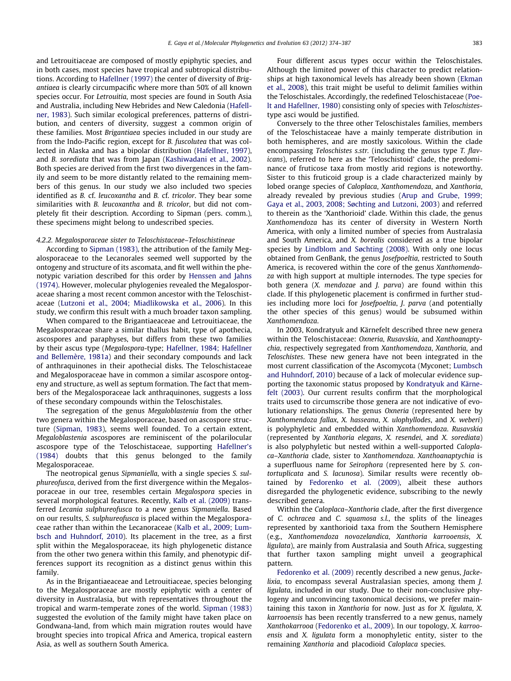and Letrouitiaceae are composed of mostly epiphytic species, and in both cases, most species have tropical and subtropical distributions. According to [Hafellner \(1997\)](#page-11-0) the center of diversity of Brigantiaea is clearly circumpacific where more than 50% of all known species occur. For Letrouitia, most species are found in South Asia and Australia, including New Hebrides and New Caledonia ([Hafell](#page-11-0)[ner, 1983\)](#page-11-0). Such similar ecological preferences, patterns of distribution, and centers of diversity, suggest a common origin of these families. Most Brigantiaea species included in our study are from the Indo-Pacific region, except for B. fuscolutea that was collected in Alaska and has a bipolar distribution ([Hafellner, 1997\)](#page-11-0), and B. sorediata that was from Japan [\(Kashiwadani et al., 2002\)](#page-11-0). Both species are derived from the first two divergences in the family and seem to be more distantly related to the remaining members of this genus. In our study we also included two species identified as B. cf. leucoxantha and B. cf. tricolor. They bear some similarities with B. leucoxantha and B. tricolor, but did not completely fit their description. According to Sipman (pers. comm.), these specimens might belong to undescribed species.

#### 4.2.2. Megalosporaceae sister to Teloschistaceae–Teloschistineae

According to [Sipman \(1983\)](#page-12-0), the attribution of the family Megalosporaceae to the Lecanorales seemed well supported by the ontogeny and structure of its ascomata, and fit well within the phenotypic variation described for this order by [Henssen and Jahns](#page-11-0) [\(1974\).](#page-11-0) However, molecular phylogenies revealed the Megalosporaceae sharing a most recent common ancestor with the Teloschistaceae ([Lutzoni et al., 2004; Miadlikowska et al., 2006](#page-12-0)). In this study, we confirm this result with a much broader taxon sampling.

When compared to the Brigantiaeaceae and Letrouitiaceae, the Megalosporaceae share a similar thallus habit, type of apothecia, ascospores and paraphyses, but differs from these two families by their ascus type (Megalospora-type; [Hafellner, 1984; Hafellner](#page-11-0) [and Bellemère, 1981a](#page-11-0)) and their secondary compounds and lack of anthraquinones in their apothecial disks. The Teloschistaceae and Megalosporaceae have in common a similar ascospore ontogeny and structure, as well as septum formation. The fact that members of the Megalosporaceae lack anthraquinones, suggests a loss of these secondary compounds within the Teloschistales.

The segregation of the genus Megaloblastenia from the other two genera within the Megalosporaceae, based on ascospore structure ([Sipman, 1983](#page-12-0)), seems well founded. To a certain extent, Megaloblastenia ascospores are reminiscent of the polarilocular ascospore type of the Teloschistaceae, supporting [Hafellner's](#page-11-0) [\(1984\)](#page-11-0) doubts that this genus belonged to the family Megalosporaceae.

The neotropical genus Sipmaniella, with a single species S. sulphureofusca, derived from the first divergence within the Megalosporaceae in our tree, resembles certain Megalospora species in several morphological features. Recently, [Kalb et al. \(2009\)](#page-11-0) transferred Lecania sulphureofusca to a new genus Sipmaniella. Based on our results, S. sulphureofusca is placed within the Megalosporaceae rather than within the Lecanoraceae [\(Kalb et al., 2009; Lum](#page-11-0)[bsch and Huhndorf, 2010](#page-11-0)). Its placement in the tree, as a first split within the Megalosporaceae, its high phylogenetic distance from the other two genera within this family, and phenotypic differences support its recognition as a distinct genus within this family.

As in the Brigantiaeaceae and Letrouitiaceae, species belonging to the Megalosporaceae are mostly epiphytic with a center of diversity in Australasia, but with representatives throughout the tropical and warm-temperate zones of the world. [Sipman \(1983\)](#page-12-0) suggested the evolution of the family might have taken place on Gondwana-land, from which main migration routes would have brought species into tropical Africa and America, tropical eastern Asia, as well as southern South America.

Four different ascus types occur within the Teloschistales. Although the limited power of this character to predict relationships at high taxonomical levels has already been shown ([Ekman](#page-11-0) [et al., 2008\)](#page-11-0), this trait might be useful to delimit families within the Teloschistales. Accordingly, the redefined Teloschistaceae ([Poe](#page-12-0)[lt and Hafellner, 1980\)](#page-12-0) consisting only of species with Teloschistestype asci would be justified.

Conversely to the three other Teloschistales families, members of the Teloschistaceae have a mainly temperate distribution in both hemispheres, and are mostly saxicolous. Within the clade encompassing Teloschistes s.str. (including the genus type T. flavicans), referred to here as the 'Teloschistoid' clade, the predominance of fruticose taxa from mostly arid regions is noteworthy. Sister to this fruticoid group is a clade characterized mainly by lobed orange species of Caloplaca, Xanthomendoza, and Xanthoria, already revealed by previous studies [\(Arup and Grube, 1999;](#page-11-0) [Gaya et al., 2003, 2008; Søchting and Lutzoni, 2003](#page-11-0)) and referred to therein as the 'Xanthorioid' clade. Within this clade, the genus Xanthomendoza has its center of diversity in Western North America, with only a limited number of species from Australasia and South America, and X. borealis considered as a true bipolar species by [Lindblom and Søchting \(2008\)](#page-12-0). With only one locus obtained from GenBank, the genus Josefpoeltia, restricted to South America, is recovered within the core of the genus Xanthomendoza with high support at multiple internodes. The type species for both genera (X. mendozae and J. parva) are found within this clade. If this phylogenetic placement is confirmed in further studies including more loci for Josefpoeltia, J. parva (and potentially the other species of this genus) would be subsumed within Xanthomendoza.

In 2003, Kondratyuk and Kärnefelt described three new genera within the Teloschistaceae: Oxneria, Rusavskia, and Xanthoanaptychia, respectively segregated from Xanthomendoza, Xanthoria, and Teloschistes. These new genera have not been integrated in the most current classification of the Ascomycota (Myconet; [Lumbsch](#page-12-0) [and Huhndorf, 2010\)](#page-12-0) because of a lack of molecular evidence supporting the taxonomic status proposed by [Kondratyuk and Kärne](#page-12-0)[felt \(2003\)](#page-12-0). Our current results confirm that the morphological traits used to circumscribe those genera are not indicative of evolutionary relationships. The genus Oxneria (represented here by Xanthomendoza fallax, X. hasseana, X. ulophyllodes, and X. weberi) is polyphyletic and embedded within Xanthomendoza. Rusavskia (represented by Xanthoria elegans, X. resendei, and X. sorediata) is also polyphyletic but nested within a well-supported Caloplaca–Xanthoria clade, sister to Xanthomendoza. Xanthoanaptychia is a superfluous name for Seirophora (represented here by S. contortuplicata and S. lacunosa). Similar results were recently obtained by [Fedorenko et al. \(2009\),](#page-11-0) albeit these authors disregarded the phylogenetic evidence, subscribing to the newly described genera.

Within the Caloplaca–Xanthoria clade, after the first divergence of C. ochracea and C. squamosa s.l., the splits of the lineages represented by xanthorioid taxa from the Southern Hemisphere (e.g., Xanthomendoza novozelandica, Xanthoria karrooensis, X. ligulata), are mainly from Australasia and South Africa, suggesting that further taxon sampling might unveil a geographical pattern.

[Fedorenko et al. \(2009\)](#page-11-0) recently described a new genus, Jackelixia, to encompass several Australasian species, among them J. ligulata, included in our study. Due to their non-conclusive phylogeny and unconvincing taxonomical decisions, we prefer maintaining this taxon in Xanthoria for now. Just as for X. ligulata, X. karrooensis has been recently transferred to a new genus, namely Xanthokarrooa [\(Fedorenko et al., 2009](#page-11-0)). In our topology, X. karrooensis and X. ligulata form a monophyletic entity, sister to the remaining Xanthoria and placodioid Caloplaca species.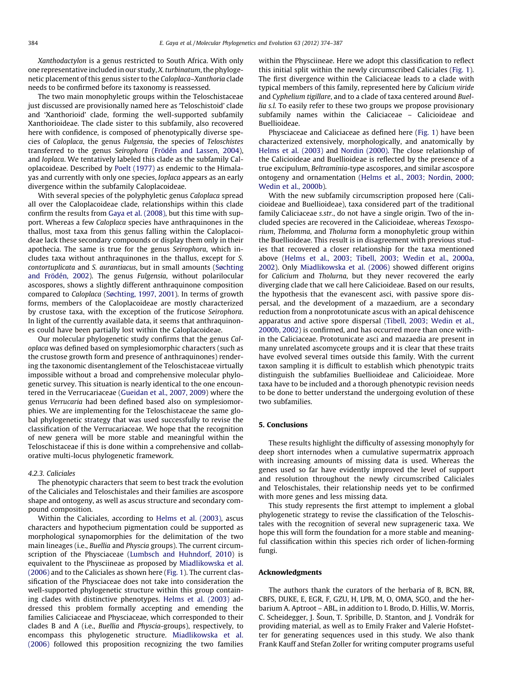Xanthodactylon is a genus restricted to South Africa. With only one representative included in our study, X. turbinatum, the phylogenetic placement of this genus sister to the Caloplaca–Xanthoria clade needs to be confirmed before its taxonomy is reassessed.

The two main monophyletic groups within the Teloschistaceae just discussed are provisionally named here as 'Teloschistoid' clade and 'Xanthorioid' clade, forming the well-supported subfamily Xanthorioideae. The clade sister to this subfamily, also recovered here with confidence, is composed of phenotypically diverse species of Caloplaca, the genus Fulgensia, the species of Teloschistes transferred to the genus Seirophora [\(Frödén and Lassen, 2004\)](#page-11-0), and Ioplaca. We tentatively labeled this clade as the subfamily Caloplacoideae. Described by [Poelt \(1977\)](#page-12-0) as endemic to the Himalayas and currently with only one species, Ioplaca appears as an early divergence within the subfamily Caloplacoideae.

With several species of the polyphyletic genus Caloplaca spread all over the Caloplacoideae clade, relationships within this clade confirm the results from [Gaya et al. \(2008\),](#page-11-0) but this time with support. Whereas a few Caloplaca species have anthraquinones in the thallus, most taxa from this genus falling within the Caloplacoideae lack these secondary compounds or display them only in their apothecia. The same is true for the genus Seirophora, which includes taxa without anthraquinones in the thallus, except for S. contortuplicata and S. aurantiacus, but in small amounts [\(Søchting](#page-12-0) [and Frödén, 2002\)](#page-12-0). The genus Fulgensia, without polarilocular ascospores, shows a slightly different anthraquinone composition compared to Caloplaca ([Søchting, 1997, 2001\)](#page-12-0). In terms of growth forms, members of the Caloplacoideae are mostly characterized by crustose taxa, with the exception of the fruticose Seirophora. In light of the currently available data, it seems that anthraquinones could have been partially lost within the Caloplacoideae.

Our molecular phylogenetic study confirms that the genus Caloplaca was defined based on symplesiomorphic characters (such as the crustose growth form and presence of anthraquinones) rendering the taxonomic disentanglement of the Teloschistaceae virtually impossible without a broad and comprehensive molecular phylogenetic survey. This situation is nearly identical to the one encountered in the Verrucariaceae [\(Gueidan et al., 2007, 2009\)](#page-11-0) where the genus Verrucaria had been defined based also on symplesiomorphies. We are implementing for the Teloschistaceae the same global phylogenetic strategy that was used successfully to revise the classification of the Verrucariaceae. We hope that the recognition of new genera will be more stable and meaningful within the Teloschistaceae if this is done within a comprehensive and collaborative multi-locus phylogenetic framework.

#### 4.2.3. Caliciales

The phenotypic characters that seem to best track the evolution of the Caliciales and Teloschistales and their families are ascospore shape and ontogeny, as well as ascus structure and secondary compound composition.

Within the Caliciales, according to [Helms et al. \(2003\),](#page-11-0) ascus characters and hypothecium pigmentation could be supported as morphological synapomorphies for the delimitation of the two main lineages (i.e., Buellia and Physcia groups). The current circumscription of the Physciaceae ([Lumbsch and Huhndorf, 2010](#page-12-0)) is equivalent to the Physciineae as proposed by [Miadlikowska et al.](#page-12-0) [\(2006\)](#page-12-0) and to the Caliciales as shown here [\(Fig. 1](#page-5-0)). The current classification of the Physciaceae does not take into consideration the well-supported phylogenetic structure within this group containing clades with distinctive phenotypes. [Helms et al. \(2003\)](#page-11-0) addressed this problem formally accepting and emending the families Caliciaceae and Physciaceae, which corresponded to their clades B and A (i.e., Buellia and Physcia-groups), respectively, to encompass this phylogenetic structure. [Miadlikowska et al.](#page-12-0) [\(2006\)](#page-12-0) followed this proposition recognizing the two families within the Physciineae. Here we adopt this classification to reflect this initial split within the newly circumscribed Caliciales [\(Fig. 1\)](#page-5-0). The first divergence within the Caliciaceae leads to a clade with typical members of this family, represented here by Calicium viride and Cyphelium tigillare, and to a clade of taxa centered around Buellia s.l. To easily refer to these two groups we propose provisionary subfamily names within the Caliciaceae – Calicioideae and Buellioideae.

Physciaceae and Caliciaceae as defined here [\(Fig. 1\)](#page-5-0) have been characterized extensively, morphologically, and anatomically by [Helms et al. \(2003\)](#page-11-0) and [Nordin \(2000\)](#page-12-0). The close relationship of the Calicioideae and Buellioideae is reflected by the presence of a true excipulum, Beltraminia-type ascospores, and similar ascospore ontogeny and ornamentation [\(Helms et al., 2003; Nordin, 2000;](#page-11-0) [Wedin et al., 2000b](#page-11-0)).

With the new subfamily circumscription proposed here (Calicioideae and Buellioideae), taxa considered part of the traditional family Caliciaceae s.str., do not have a single origin. Two of the included species are recovered in the Calicioideae, whereas Texosporium, Thelomma, and Tholurna form a monophyletic group within the Buellioideae. This result is in disagreement with previous studies that recovered a closer relationship for the taxa mentioned above ([Helms et al., 2003; Tibell, 2003; Wedin et al., 2000a,](#page-11-0) [2002\)](#page-11-0). Only [Miadlikowska et al. \(2006\)](#page-12-0) showed different origins for Calicium and Tholurna, but they never recovered the early diverging clade that we call here Calicioideae. Based on our results, the hypothesis that the evanescent asci, with passive spore dispersal, and the development of a mazaedium, are a secondary reduction from a nonprototunicate ascus with an apical dehiscence apparatus and active spore dispersal ([Tibell, 2003; Wedin et al.,](#page-12-0) [2000b, 2002](#page-12-0)) is confirmed, and has occurred more than once within the Caliciaceae. Prototunicate asci and mazaedia are present in many unrelated ascomycete groups and it is clear that these traits have evolved several times outside this family. With the current taxon sampling it is difficult to establish which phenotypic traits distinguish the subfamilies Buellioideae and Calicioideae. More taxa have to be included and a thorough phenotypic revision needs to be done to better understand the undergoing evolution of these two subfamilies.

### 5. Conclusions

These results highlight the difficulty of assessing monophyly for deep short internodes when a cumulative supermatrix approach with increasing amounts of missing data is used. Whereas the genes used so far have evidently improved the level of support and resolution throughout the newly circumscribed Caliciales and Teloschistales, their relationship needs yet to be confirmed with more genes and less missing data.

This study represents the first attempt to implement a global phylogenetic strategy to revise the classification of the Teloschistales with the recognition of several new suprageneric taxa. We hope this will form the foundation for a more stable and meaningful classification within this species rich order of lichen-forming fungi.

#### Acknowledgments

The authors thank the curators of the herbaria of B, BCN, BR, CBFS, DUKE, E, EGR, F, GZU, H, LPB, M, O, OMA, SGO, and the herbarium A. Aptroot – ABL, in addition to I. Brodo, D. Hillis, W. Morris, C. Scheidegger, J. Šoun, T. Spribille, D. Stanton, and J. Vondrák for providing material, as well as to Emily Fraker and Valerie Hofstetter for generating sequences used in this study. We also thank Frank Kauff and Stefan Zoller for writing computer programs useful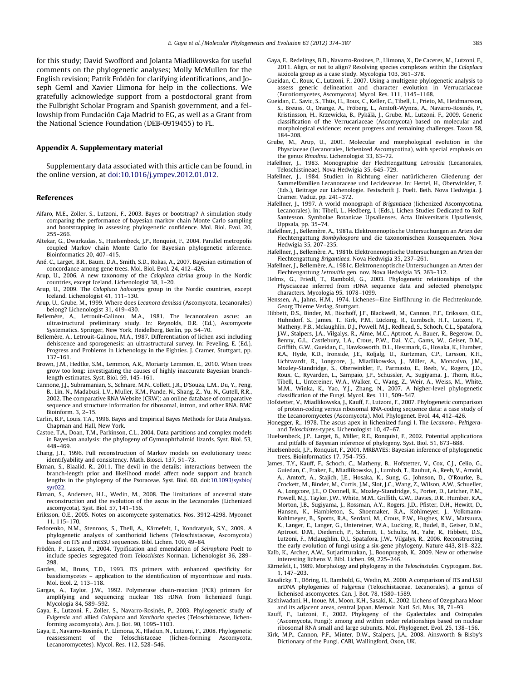<span id="page-11-0"></span>for this study; David Swofford and Jolanta Miadlikowska for useful comments on the phylogenetic analyses; Molly McMullen for the English revision; Patrik Frödén for clarifying identifications, and Joseph Geml and Xavier Llimona for help in the collections. We gratefully acknowledge support from a postdoctoral grant from the Fulbright Scholar Program and Spanish government, and a fellowship from Fundación Caja Madrid to EG, as well as a Grant from the National Science Foundation (DEB-0919455) to FL.

#### Appendix A. Supplementary material

Supplementary data associated with this article can be found, in the online version, at [doi:10.1016/j.ympev.2012.01.012](http://dx.doi.org/10.1016/j.ympev.2012.01.012).

#### References

- Alfaro, M.E., Zoller, S., Lutzoni, F., 2003. Bayes or bootstrap? A simulation study comparing the performance of bayesian markov chain Monte Carlo sampling and bootstrapping in assessing phylogenetic confidence. Mol. Biol. Evol. 20, 255–266.
- Altekar, G., Dwarkadas, S., Huelsenbeck, J.P., Ronquist, F., 2004. Parallel metropolis coupled Markov chain Monte Carlo for Bayesian phylogenetic inference. Bioinformatics 20, 407–415.
- Ané, C., Larget, B.R., Baum, D.A., Smith, S.D., Rokas, A., 2007. Bayesian estimation of concordance among gene trees. Mol. Biol. Evol. 24, 412–426.
- Arup, U., 2006. A new taxonomy of the Caloplaca citrina group in the Nordic countries, except Iceland. Lichenologist 38, 1–20.
- Arup, U., 2009. The Caloplaca holocarpa group in the Nordic countries, except Iceland. Lichenologist 41, 111–130.
- Arup, U., Grube, M., 1999. Where does Lecanora demissa (Ascomycota, Lecanorales) belong? Lichenologist 31, 419–430.
- Bellemère, A., Letrouit-Galinou, M.A., 1981. The lecanoralean ascus: an ultrastructural preliminary study. In: Reynolds, D.R. (Ed.), Ascomycete Systematics. Springer, New York, Heidelberg, Berlin, pp. 54–70.
- Bellemère, A., Letrouit-Galinou, M.A., 1987. Differentiation of lichen asci including dehiscence and sporogenesis: an ultrastructural survey. In: Peveling, E. (Ed.), Progress and Problems in Lichenology in the Eighties. J. Cramer, Stuttgart, pp. 137–161.
- Brown, J.M., Hedtke, S.M., Lemmon, A.R., Moriarty Lemmon, E., 2010. When trees grow too long: investigating the causes of highly inaccurate Bayesian branchlength estimates. Syst. Biol. 59, 145–161.
- Cannone, J.J., Subramanian, S., Schnare, M.N., Collett, J.R., D'Souza, L.M., Du, Y., Feng, B., Lin, N., Madabusi, L.V., Muller, K.M., Pande, N., Shang, Z., Yu, N., Gutell, R.R., 2002. The comparative RNA Website (CRW): an online database of comparative sequence and structure information for ribosomal, intron, and other RNA. BMC Bioinform. 3, 2–15.
- Carlin, B.P., Louis, T.A., 1996. Bayes and Empirical Bayes Methods for Data Analysis. Chapman and Hall, New York.
- Castoe, T.A., Doan, T.M., Parkinson, C.L., 2004. Data partitions and complex models in Bayesian analysis: the phylogeny of Gymnophthalmid lizards. Syst. Biol. 53, 448–469.
- Chang, J.T., 1996. Full reconstruction of Markov models on evolutionary trees: identifyability and consistency. Math. Biosci. 137, 51–73.
- Ekman, S., Blaalid, R., 2011. The devil in the details: interactions between the branch-length prior and likelihood model affect node support and branch lengths in the phylogeny of the Psoraceae. Syst. Biol. 60. doi:[10.1093/sysbio/](http://dx.doi.org/10.1093/sysbio/syr022) [syr022.](http://dx.doi.org/10.1093/sysbio/syr022)
- Ekman, S., Andersen, H.L., Wedin, M., 2008. The limitations of ancestral state reconstruction and the evolution of the ascus in the Lecanorales (Lichenized ascomycota). Syst. Biol. 57, 141–156.
- Eriksson, O.E., 2005. Notes on ascomycete systematics. Nos. 3912-4298. Myconet 11, 115–170.
- Fedorenko, N.M., Stenroos, S., Thell, A., Kärnefelt, I., Kondratyuk, S.Y., 2009. A phylogenetic analysis of xanthorioid lichens (Teloschistaceae, Ascomycota) based on ITS and mtSSU sequences. Bibl. Lichen. 100, 49–84.
- Frödén, P., Lassen, P., 2004. Typification and emendation of Seirophora Poelt to include species segregated from Teloschistes Norman. Lichenologist 36, 289– 298.
- Gardes, M., Bruns, T.D., 1993. ITS primers with enhanced specificity for basidiomycetes – application to the identification of mycorrhizae and rusts. Mol. Ecol. 2, 113–118.
- Gargas, A., Taylor, J.W., 1992. Polymerase chain-reaction (PCR) primers for amplifying and sequencing nuclear 18S rDNA from lichenized fungi. Mycologia 84, 589–592.
- Gaya, E., Lutzoni, F., Zoller, S., Navarro-Rosinés, P., 2003. Phylogenetic study of Fulgensia and allied Caloplaca and Xanthoria species (Teloschistaceae, lichenforming ascomycota). Am. J. Bot. 90, 1095–1103.
- Gaya, E., Navarro-Rosinés, P., Llimona, X., Hladun, N., Lutzoni, F., 2008. Phylogenetic reassessment of the Teloschistaceae (lichen-forming Ascomycota, Lecanoromycetes). Mycol. Res. 112, 528–546.
- Gaya, E., Redelings, B.D., Navarro-Rosines, P., Llimona, X., De Caceres, M., Lutzoni, F., 2011. Align, or not to align? Resolving species complexes within the Caloplaca saxicola group as a case study. Mycologia 103, 361–378.
- Gueidan, C., Roux, C., Lutzoni, F., 2007. Using a multigene phylogenetic analysis to assess generic delineation and character evolution in Verrucariaceae (Eurotiomycetes, Ascomycota). Mycol. Res. 111, 1145–1168.
- Gueidan, C., Savic, S., Thüs, H., Roux, C., Keller, C., Tibell, L., Prieto, M., Heidmarsson, S., Breuss, O., Orange, A., Fröberg, L., Amtoft-Wynns, A., Navarro-Rosinés, P., Kristinsson, H., Krzewicka, B., Pykälä, J., Grube, M., Lutzoni, F., 2009. Generic classification of the Verrucariaceae (Ascomycota) based on molecular and morphological evidence: recent progress and remaining challenges. Taxon 58, 184–208.
- Grube, M., Arup, U., 2001. Molecular and morphological evolution in the Physciaceae (Lecanorales, lichenized Ascomycotina), with special emphasis on the genus Rinodina. Lichenologist 33, 63–72.
- Hafellner, J., 1983. Monographie der Flechtengattung Letrouitia (Lecanorales, Teloschistineae). Nova Hedwigia 35, 645–729.
- Hafellner, J., 1984. Studien in Richtung einer natürlicheren Gliederung der Sammelfamilien Lecanoraceae und Lecideaceae. In: Hertel, H., Oberwinkler, F. (Eds.), Beitrage zur Lichenologie. Festschrift J. Poelt. Beih. Nova Hedwigia. J. Cramer, Vaduz, pp. 241–372.
- Hafellner, J., 1997. A world monograph of Brigantiaea (lichenized Ascomycotina, Lecanorales). In: Tibell, L., Hedberg, I. (Eds.), Lichen Studies Dedicated to Rolf Santesson. Symbolae Botanicae Upsalienses. Acta Universitatis Upsaliensis, Uppsala, pp. 35–74.
- Hafellner, J., Bellemère, A., 1981a. Elektronenoptische Untersuchungen an Arten der Flechtengattung Bombyliospora und die taxonomischen Konsequenzen. Nova Hedwigia 35, 207–235.
- Hafellner, J., Bellemère, A., 1981b. Elektronenoptische Untersuchungen an Arten der Flechtengattung Brigantiaea. Nova Hedwigia 35, 237–261.
- Hafellner, J., Bellemère, A., 1981c. Elektronenoptische Untersuchungen an Arten der Flechtengattung Letrouitia gen. nov. Nova Hedwigia 35, 263–312.
- Helms, G., Friedl, T., Rambold, G., 2003. Phylogenetic relationships of the Physciaceae inferred from rDNA sequence data and selected phenotypic characters. Mycologia 95, 1078–1099.
- Henssen, A., Jahns, H.M., 1974. Lichenes—Eine Einführung in die Flechtenkunde. Georg Thieme Verlag, Stuttgart.
- Hibbett, D.S., Binder, M., Bischoff, J.F., Blackwell, M., Cannon, P.F., Eriksson, O.E., Huhndorf, S., James, T., Kirk, P.M., Lücking, R., Lumbsch, H.T., Lutzoni, F., Matheny, P.B., Mclaughlin, D.J., Powell, M.J., Redhead, S., Schoch, C.L., Spatafora, J.W., Stalpers, J.A., Vilgalys, R., Aime, M.C., Aptroot, A., Bauer, R., Begerow, D., Benny, G.L., Castlebury, L.A., Crous, P.W., Dai, Y.C., Gams, W., Geiser, D.M., Griffith, G.W., Gueidan, C., Hawksworth, D.L., Hestmark, G., Hosaka, K., Humber, R.A., Hyde, K.D., Ironside, J.E., Koljalg, U., Kurtzman, C.P., Larsson, K.H., Lichtwardt, R., Longcore, J., Miadlikowska, J., Miller, A., Moncalvo, J.M., Mozley-Standridge, S., Oberwinkler, F., Parmasto, E., Reeb, V., Rogers, J.D., Roux, C., Ryvarden, L., Sampaio, J.P., Schussler, A., Sugiyama, J., Thorn, R.G., Tibell, L., Untereiner, W.A., Walker, C., Wang, Z., Weir, A., Weiss, M., White, M.M., Winka, K., Yao, Y.J., Zhang, N., 2007. A higher-level phylogenetic classification of the Fungi. Mycol. Res. 111, 509–547.
- Hofstetter, V., Miadlikowska, J., Kauff, F., Lutzoni, F., 2007. Phylogenetic comparison of protein-coding versus ribosomal RNA-coding sequence data: a case study of the Lecanoromycetes (Ascomycota). Mol. Phylogenet. Evol. 44, 412–426.
- Honegger, R., 1978. The ascus apex in lichenized fungi I. The Lecanora-, Peltigeraand Teloschistes-types. Lichenologist 10, 47–67.
- Huelsenbeck, J.P., Larget, B., Miller, R.E., Ronquist, F., 2002. Potential applications and pitfalls of Bayesian inference of phylogeny. Syst. Biol. 51, 673–688.
- Huelsenbeck, J.P., Ronquist, F., 2001. MRBAYES: Bayesian inference of phylogenetic trees. Bioinformatics 17, 754–755.
- James, T.Y., Kauff, F., Schoch, C., Matheny, B., Hofstetter, V., Cox, C.J., Celio, G., Guiedan, C., Fraker, E., Miadlikowska, J., Lumbsh, T., Rauhut, A., Reeb, V., Arnold, A., Amtoft, A., Stajich, J.E., Hosaka, K., Sung, G., Johnson, D., O'Rourke, B., Crockett, M., Binder, M., Curtis, J.M., Slot, J.C., Wang, Z., Wilson, A.W., Schueller, A., Longcore, J.E., O Donnell, K., Mozley-Standridge, S., Porter, D., Letcher, P.M., Powell, M.J., Taylor, J.W., White, M.M., Griffith, G.W., Davies, D.R., Humber, R.A., Morton, J.B., Sugiyama, J., Rossman, A.Y., Rogers, J.D., Pfister, D.H., Hewitt, D., Hansen, K., Hambleton, S., Shoemaker, R.A., Kohlmeyer, J., Volkmann-Kohlmeyer, B., Spotts, R.A., Serdani, M., Crous, P.W., Hughes, K.W., Matsuura, K., Langer, E., Langer, G., Untereiner, W.A., Lucking, R., Budel, B., Geiser, D.M., Aptroot, D.M., Diederich, P., Schmitt, I., Schultz, M., Yahr, R., Hibbett, D.S., Lutzoni, F., Mclaughlin, D.J., Spatafora, J.W., Vilgalys, R., 2006. Reconstructing the early evolution of fungi using a six-gene phylogeny. Nature 443, 818–822.
- Kalb, K., Archer, A.W., Sutjaritturakan, J., Boonpragob, K., 2009. New or otherwise interesting lichens V. Bibl. Lichen. 99, 225–246.
- Kärnefelt, I., 1989. Morphology and phylogeny in the Teloschistales. Cryptogam. Bot. 1, 147–203.
- Kasalicky, T., Döring, H., Rambold, G., Wedin, M., 2000. A comparison of ITS and LSU nrDNA phylogenies of Fulgensia (Teloschistaceae, Lecanorales), a genus of lichenised ascomycetes. Can. J. Bot. 78, 1580–1589.
- Kashiwadani, H., Inoue, M., Moon, K.H., Sasaki, K., 2002. Lichens of Ozegahara Moor and its adjacent areas, central Japan. Memoir. Natl. Sci. Mus. 38, 71–93.
- Kauff, F., Lutzoni, F., 2002. Phylogeny of the Gyalectales and Ostropales (Ascomycota, Fungi): among and within order relationships based on nuclear ribosomal RNA small and large subunits. Mol. Phylogenet. Evol. 25, 138–156.
- Kirk, M.P., Cannon, P.F., Minter, D.W., Stalpers, J.A., 2008. Ainsworth & Bisby's Dictionary of the Fungi. CABI, Wallingford, Oxon, UK.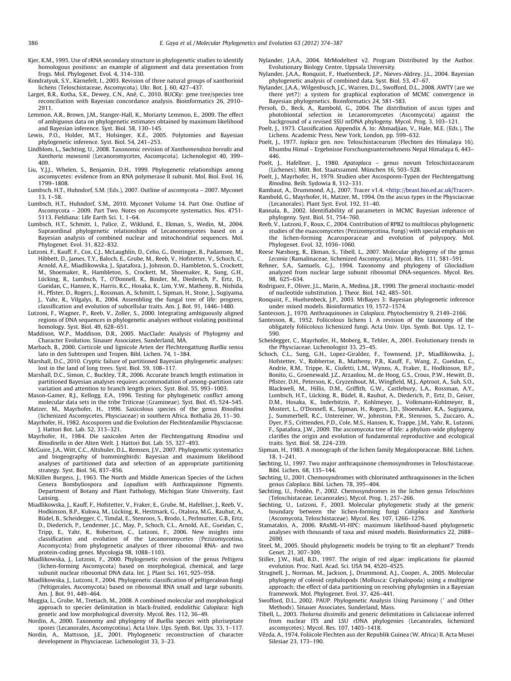- <span id="page-12-0"></span>Kjer, K.M., 1995. Use of rRNA secondary structure in phylogenetic studies to identify homologous positions: an example of alignment and data presentation from frogs. Mol. Phylogenet. Evol. 4, 314–330.
- Kondratyuk, S.Y., Kärnefelt, I., 2003. Revision of three natural groups of xanthorioid lichens (Teloschistaceae, Ascomycota). Ukr. Bot. J. 60, 427–437.
- Larget, B.R., Kotha, S.K., Dewey, C.N., Ané, C., 2010. BUCKy: gene tree/species tree reconciliation with Bayesian concordance analysis. Bioinformatics 26, 2910– 2911.
- Lemmon, A.R., Brown, J.M., Stanger-Hall, K., Moriarty Lemmon, E., 2009. The effect of ambiguous data on phylogenetic estimates obtained by maximum likelihood and Bayesian inference. Syst. Biol. 58, 130–145.
- Lewis, P.O., Holder, M.T., Holsinger, K.E., 2005. Polytomies and Bayesian phylogenetic inference. Syst. Biol. 54, 241–253.
- Lindblom, L., Søchting, U., 2008. Taxonomic revision of Xanthomendoza borealis and Xanthoria mawsonii (Lecanoromycetes, Ascomycota). Lichenologist 40, 399– 409.
- Liu, Y.J.J., Whelen, S., Benjamin, D.H., 1999. Phylogenetic relationships among ascomycetes: evidence from an RNA polymerase II subunit. Mol. Biol. Evol. 16, 1799–1808.
- Lumbsch, H.T., Huhndorf, S.M. (Eds.), 2007. Outline of ascomycota 2007. Myconet 13, 1–58.
- Lumbsch, H.T., Huhndorf, S.M., 2010. Myconet Volume 14. Part One. Outline of Ascomycota – 2009. Part Two. Notes on Ascomycete systematics. Nos. 4751- 5113. Fieldiana: Life Earth Sci. 1, 1–64.
- Lumbsch, H.T., Schmitt, I., Palice, Z., Wiklund, E., Ekman, S., Wedin, M., 2004. Supraordinal phylogenetic relationships of Lecanoromycetes based on a Bayesian analysis of combined nuclear and mitochondrial sequences. Mol. Phylogenet. Evol. 31, 822–832.
- Lutzoni, F., Kauff, F., Cox, C.J., McLaughlin, D., Celio, G., Dentinger, B., Padamsee, M., Hibbett, D., James, T.Y., Baloch, E., Grube, M., Reeb, V., Hofstetter, V., Schoch, C., Arnold, A.E., Miadlikowska, J., Spatafora, J., Johnson, D., Hambleton, S., Crockett, M., Shoemaker, R., Hambleton, S., Crockett, M., Shoemaker, R., Sung, G.H., Lücking, R., Lumbsch, T., O'Donnell, K., Binder, M., Diederich, P., Ertz, D., Gueidan, C., Hansen, K., Harris, R.C., Hosaka, K., Lim, Y.W., Matheny, B., Nishida, H., Pfister, D., Rogers, J., Rossman, A., Schmitt, I., Sipman, H., Stone, J., Sugiyama, J., Yahr, R., Vilgalys, R., 2004. Assembling the fungal tree of life: progress, classification and evolution of subcellular traits. Am. J. Bot. 91, 1446–1480.
- Lutzoni, F., Wagner, P., Reeb, V., Zoller, S., 2000. Integrating ambiguously aligned regions of DNA sequences in phylogenetic analyses without violating positional homology. Syst. Biol. 49, 628–651.
- Maddison, W.P., Maddison, D.R., 2005. MacClade: Analysis of Phylogeny and Character Evolution. Sinauer Associates, Sunderland, MA.
- Marbach, B., 2000. Corticole und lignicole Arten der Flechtengattung Buellia sensu lato in den Subtropen und Tropen. Bibl. Lichen. 74, 1–384.
- Marshall, D.C., 2010. Cryptic failure of partitioned Bayesian phylogenetic analyses: lost in the land of long trees. Syst. Biol. 59, 108–117.
- Marshall, D.C., Simon, C., Buckley, T.R., 2006. Accurate branch length estimation in partitioned Bayesian analyses requires accommodation of among-partition rate variation and attention to branch length priors. Syst. Biol. 55, 993–1003.
- Mason-Gamer, R.J., Kellogg, E.A., 1996. Testing for phylogenetic conflict among molecular data sets in the tribe Triticeae (Gramineae). Syst. Biol. 45, 524–545. Matzer, M., Mayrhofer, H., 1996. Saxicolous species of the genus Rinodina
- (lichenized Ascomycetes, Physciaceae) in southern Africa. Bothalia 26, 11–30. Mayrhofer, H., 1982. Ascosporen und die Evolution der Flechtenfamilie Physciaceae.
- J. Hattori Bot. Lab. 52, 313–321. Mayrhofer, H., 1984. Die saxicolen Arten der Flechtengattung Rinodina und Rinodinella in der Alten Welt. J. Hattori Bot. Lab. 55, 327–493.
- McGuire, J.A., Witt, C.C., Altshuler, D.L., Remsen, J.V., 2007. Phylogenetic systematics and biogeography of hummingbirds: Bayesian and maximum likelihood analyses of partitioned data and selection of an appropriate partitioning strategy. Syst. Biol. 56, 837–856.
- McKillen Burgess, J., 1963. The North and Middle American Species of the Lichen Genera Bombyliospora and Lopadium with Anthraquinone Pigments. Department of Botany and Plant Pathology, Michigan State University, East Lansing.
- Miadlikowska, J., Kauff, F., Hofstetter, V., Fraker, E., Grube, M., Hafellner, J., Reeb, V., Hodkinson, B.P., Kukwa, M., Lücking, R., Hestmark, G., Otalora, M.G., Rauhut, A., Büdel, B., Scheidegger, C., Timdal, E., Stenroos, S., Brodo, I., Perlmutter, G.B., Ertz, D., Diederich, P., Lendemer, J.C., May, P., Schoch, C.L., Arnold, A.E., Gueidan, C., Tripp, E., Yahr, R., Robertson, C., Lutzoni, F., 2006. New insights into classification and evolution of the Lecanoromycetes (Pezizomycotina, Ascomycota) from phylogenetic analyses of three ribosomal RNA- and two protein-coding genes. Mycologia 98, 1088–1103.
- Miadlikowska, J., Lutzoni, F., 2000. Phylogenetic revision of the genus Peltigera (lichen-forming Ascomycota) based on morphological, chemical, and large subunit nuclear ribosomal DNA data. Int. J. Plant Sci. 161, 925–958.
- Miadlikowska, J., Lutzoni, F., 2004. Phylogenetic classification of peltigeralean fungi (Peltigerales, Ascomycota) based on ribosomal RNA small and large subunits. Am. J. Bot. 91, 449–464.
- Muggia, L., Grube, M., Tretiach, M., 2008. A combined molecular and morphological approach to species delimitation in black-fruited, endolithic Caloplaca: high genetic and low morphological diversity. Mycol. Res. 112, 36–49.
- Nordin, A., 2000. Taxonomy and phylogeny of Buellia species with pluriseptate spores (Lecanorales, Ascomycotina). Acta Univ. Ups. Symb. Bot. Ups. 33, 1–117.
- Nordin, A., Mattsson, J.E., 2001. Phylogenetic reconstruction of character development in Physciaceae. Lichenologist 33, 3–23.
- Nylander, J.A.A., 2004. MrModeltest v2. Program Distributed by the Author. Evolutionary Biology Centre, Uppsala University.
- Nylander, J.A.A., Ronquist, F., Huelsenbeck, J.P., Nieves-Aldrey, J.L., 2004. Bayesian phylogenetic analysis of combined data. Syst. Biol. 53, 47–67.
- Nylander, J.A.A., Wilgenbusch, J.C., Warren, D.L., Swofford, D.L., 2008. AWTY (are we there yet?): a system for graphical exploration of MCMC convergence in Bayesian phylogenetics. Bioinformatics 24, 581–583.
- Persoh, D., Beck, A., Rambold, G., 2004. The distribution of ascus types and photobiontal selection in Lecanoromycetes (Ascomycota) against the background of a revised SSU nrDNA phylogeny. Mycol. Prog. 3, 103–121.
- Poelt, J., 1973. Classification. Appendix A. In: Ahmadjian, V., Hale, M.E. (Eds.), The Lichens. Academic Press, New York, London, pp. 599–632.
- Poelt, J., 1977. Ioplaca gen. nov. Teloschistacearum (Flechten des Himalaya 16). Khumbu Himal – Ergebnisse Forschungsunternehmens Nepal Himalaya 6, 443– 446.
- Poelt, J., Hafellner, J., 1980. Apatoplaca genus novum Teloschistacearum (Lichenes). Mitt. Bot. Staatssamml. München 16, 503–528.
- Poelt, J., Mayrhofer, H., 1979. Studien uber Ascosporen-Typen der Flechtengattung Rinodina. Beih. Sydowia 8, 312–331.
- Rambaut, A., Drummond, A.J., 2007. Tracer v1.4. [<http://beast.bio.ed.ac.uk/Tracer>](http://www.beast.bio.ed.ac.uk/Tracer).
- Rambold, G., Mayrhofer, H., Matzer, M., 1994. On the ascus types in the Physciaceae (Lecanorales). Plant Syst. Evol. 192, 31–40.
- Rannala, B., 2002. Identifiability of parameters in MCMC Bayesian inference of phylogeny. Syst. Biol. 51, 754–760.
- Reeb, V., Lutzoni, F., Roux, C., 2004. Contribution of RPB2 to multilocus phylogenetic studies of the euascomycetes (Pezizomycotina, Fungi) with special emphasis on the lichen-forming Acarosporaceae and evolution of polyspory. Mol. Phylogenet. Evol. 32, 1036-1060.
- Reese Næsborg, R., Ekman, S., Tibell, L., 2007. Molecular phylogeny of the genus Lecania (Ramalinaceae, lichenized Ascomycota). Mycol. Res. 111, 581–591.
- Rehner, S.A., Samuels, G.J., 1994. Taxonomy and phylogeny of Gliocladium analyzed from nuclear large subunit ribosomal DNA-sequences. Mycol. Res. 98, 625–634.
- Rodriguez, F., Oliver, J.L., Marin, A., Medina, J.R., 1990. The general stochastic-model of nucleotide substitution. J. Theor. Biol. 142, 485–501.
- Ronquist, F., Huelsenbeck, J.P., 2003. MrBayes 3: Bayesian phylogenetic inference under mixed models. Bioinformatics 19, 1572–1574.
- Santesson, J., 1970. Anthraquinones in Caloplaca. Phytochemistry 9, 2149-2166.
- Santesson, R., 1952. Foliicolous lichens I. A revision of the taxonomy of the obligately foliicolous lichenized fungi. Acta Univ. Ups. Symb. Bot. Ups. 12, 1– 590.
- Scheidegger, C., Mayrhofer, H., Moberg, R., Tehler, A., 2001. Evolutionary trends in the Physciaceae. Lichenologist 33, 25–45.
- Schoch, C.L., Sung, G.H., Lopez-Giraldez, F., Townsend, J.P., Miadlikowska, J., Hofstetter, V., Robbertse, B., Matheny, P.B., Kauff, F., Wang, Z., Gueidan, C., Andrie, R.M., Trippe, K., Ciufetti, L.M., Wynns, A., Fraker, E., Hodkinson, B.P., Bonito, G., Groenewald, J.Z., Arzanlou, M., de Hoog, G.S., Crous, P.W., Hewitt, D., Pfister, D.H., Peterson, K., Gryzenhout, M., Wingfield, M.J., Aptroot, A., Suh, S.O., Blackwell, M., Hillis, D.M., Griffith, G.W., Castlebury, L.A., Rossman, A.Y., Lumbsch, H.T., Lücking, R., Büdel, B., Rauhut, A., Diederich, P., Ertz, D., Geiser, D.M., Hosaka, K., Inderbitzin, P., Kohlmeyer, J., Volkmann-Kohlmeyer, B., Mostert, L., O'Donnell, K., Sipman, H., Rogers, J.D., Shoemaker, R.A., Sugiyama, J., Summerbell, R.C., Untereiner, W., Johnston, P.R., Stenroos, S., Zuccaro, A., Dyer, P.S., Crittenden, P.D., Cole, M.S., Hansen, K., Trappe, J.M., Yahr, R., Lutzoni, F., Spatafora, J.W., 2009. The ascomycota tree of life: a phylum-wide phylogeny clarifies the origin and evolution of fundamental reproductive and ecological traits. Syst. Biol. 58, 224–239.
- Sipman, H., 1983. A monograph of the lichen family Megalosporaceae. Bibl. Lichen. 18, 1–241.
- Søchting, U., 1997. Two major anthraquinone chemosyndromes in Teloschistaceae. Bibl. Lichen. 68, 135–144.
- Søchting, U., 2001. Chemosyndromes with chlorinated anthraquinones in the lichen genus Caloplaca. Bibl. Lichen. 78, 395–404.
- Søchting, U., Frödén, P., 2002. Chemosyndromes in the lichen genus Teloschistes (Teloschistaceae, Lecanorales). Mycol. Prog. 1, 257–266.
- Søchting, U., Lutzoni, F., 2003. Molecular phylogenetic study at the generic boundary between the lichen-forming fungi Caloplaca and Xanthoria (Ascomycota, Teloschistaceae). Mycol. Res. 107, 1266–1276.
- Stamatakis, A., 2006. RAxML-VI-HPC: maximum likelihood-based phylogenetic analyses with thousands of taxa and mixed models. Bioinformatics 22, 2688– 2690.
- Steel, M., 2005. Should phylogenetic models be trying to 'fit an elephant?' Trends Genet. 21, 307–309.
- Stiller, J.W., Hall, B.D., 1997. The origin of red algae: implications for plasmid evolution. Proc. Natl. Acad. Sci. USA 94, 4520–4525.
- Strugnell, J., Norman, M., Jackson, J., Drummond, A.J., Cooper, A., 2005. Molecular phylogeny of coleoid cephalopods (Mollusca: Cephalopoda) using a multigene approach; the effect of data partitioning on resolving phylogenies in a Bayesian framework. Mol. Phylogenet. Evol. 37, 426–441.
- Swofford, D.L., 2002. PAUP. Phylogenetic Analysis Using Parsimony (\* and Other Methods). Sinauer Associates, Sunderland, Mass.
- Tibell, L., 2003. Tholurna dissimilis and generic delimitations in Caliciaceae inferred from nuclear ITS and LSU rDNA phylogenies (Lecanorales, lichenized ascomycetes). Mycol. Res. 107, 1403–1418.
- Vězda, A., 1974. Foliicole Flechten aus der Republik Guinea (W. Africa) II. Acta Musei Silesiae 23, 173–190.